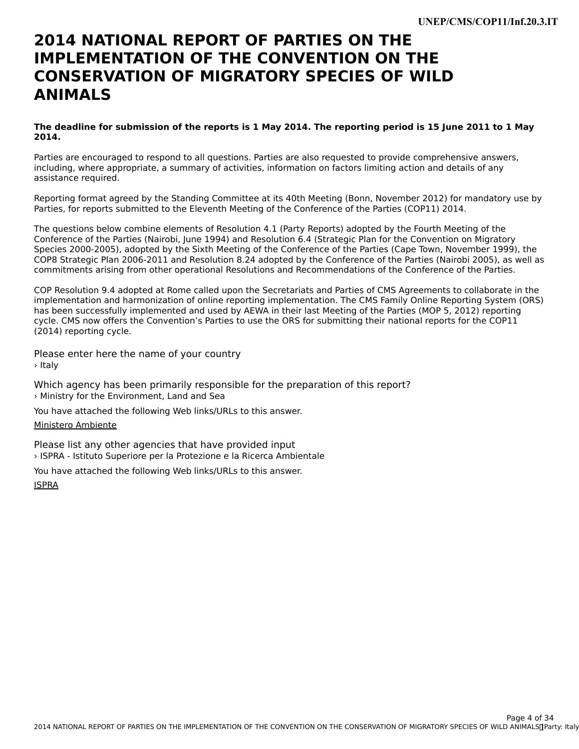#### **2014 NATIONAL REPORT OF PARTIES ON THEIMPLEMENTATION OF THE CONVENTION ON THECONSERVATION OF MIGRATORY SPECIES OF WILDANIMALS**

#### **The deadline for submission of the reports is 1 May 2014. The reporting period is 15 June 2011 to 1 May 2014.**

Parties are encouraged to respond to all questions. Parties are also requested to provide comprehensive answers, including, where appropriate, a summary of activities, information on factors limiting action and details of any mcluumg, where app<br>assistance required.

Reporting format agreed by the Standing Committee at its 40th Meeting (Bonn, November 2012) for mandatory use by Parties, for reports submitted to the Eleventh Meeting of the Conference of the Parties (COP11) 2014.

The questions below combine elements of Resolution 4.1 (Party Reports) adopted by the Fourth Meeting of the Conference of the Parties (Nairobi, June 1994) and Resolution 6.4 (Strategic Plan for the Convention on Migratory Species 2000-2005), adopted by the Sixth Meeting of the Conference of the Parties (Cape Town, November 1999), the COP8 Strategic Plan 2006-2011 and Resolution 8.24 adopted by the Conference of the Parties (Nairobi 2005), as well as commitments arising from other operational Resolutions and Recommendations of the Conference of the Parties.

COP Resolution 9.4 adopted at Rome called upon the Secretariats and Parties of CMS Agreements to collaborate in the implementation and harmonization of online reporting implementation. The CMS Family Online Reporting System (ORS) has been successfully implemented and used by AEWA in their last Meeting of the Parties (MOP 5, 2012) reporting cycle. CMS now offers the Convention's Parties to use the ORS for submitting their national reports for the COP11 (2014) reporting cycle.

Please enter here the name of your country > Italy

Which agency has been primarily responsible for the preparation of this report? › Ministry for the Environment, Land and Sea

You have attached the following Web links/URLs to this answer.

#### [Ministero Ambiente](http://www.minambiente.it)

Please list any other agencies that have provided input › ISPRA - Istituto Superiore per la Protezione e la Ricerca Ambientale

You have attached the following Web links/URLs to this answer.

[ISPRA](http://www.isprambiente.gov.it/it)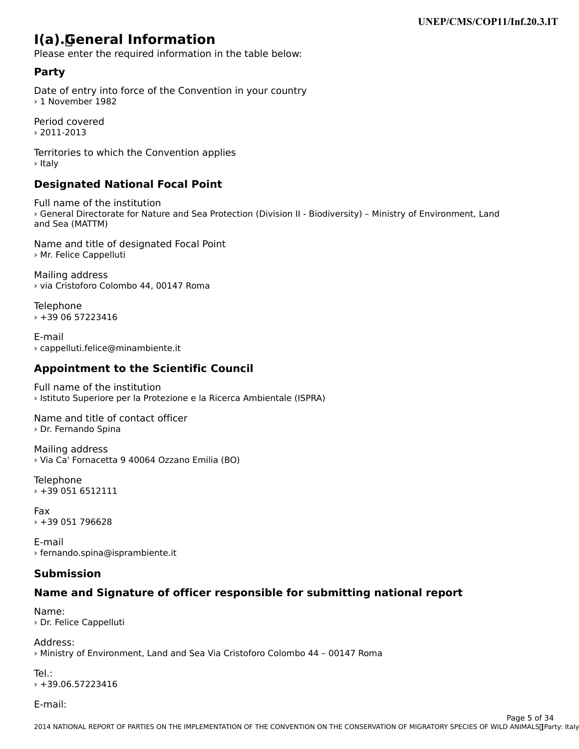## **I(a). General Information**

Please enter the required information in the table below:

### **Party**

Date of entry into force of the Convention in your country› 1 November 1982> 1 November 1982

Period covered› 2011-2013

Territories to which the Convention applies › Italy

### **Designated National Focal Point**

Full name of the institution r an narne or the mstitution<br>> General Directorate for Nature and Sea Protection (Division II - Biodiversity) – Ministry of Environment, Land and Sea (MATTM)

Name and title of designated Focal Point › Mr. Felice Cappelluti

Mailing address › via Cristoforo Colombo 44, 00147 Roma

Telephone › +39 06 57223416

E-mail› cappelluti.felice@minambiente.it

## **Appointment to the Scientific Council**

Full name of the institution › Istituto Superiore per la Protezione e la Ricerca Ambientale (ISPRA)

Name and title of contact officer› Dr. Fernando Spina

Mailing address › Via Ca' Fornacetta 9 40064 Ozzano Emilia (BO)

Telephone › +39 051 6512111

Fax $\times$  +39 051 796628

E-mail› fernando.spina@isprambiente.it

#### **Submission**

## **Name and Signature of officer responsible for submitting national report**

Name: › Dr. Felice Cappelluti

Address:› Ministry of Environment, Land and Sea Via Cristoforo Colombo 44 – 00147 Roma

Tel.: $+39.06.57223416$ 

E-mail: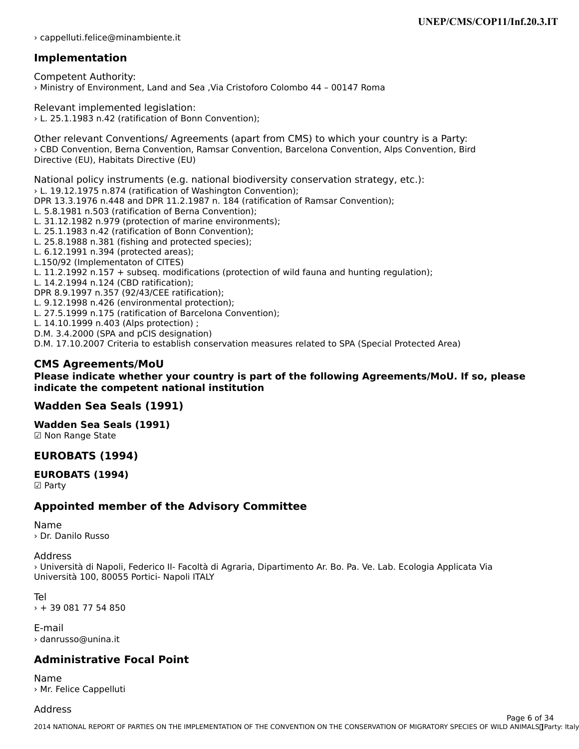› cappelluti.felice@minambiente.it

### **Implementation**

Competent Authority: › Ministry of Environment, Land and Sea ,Via Cristoforo Colombo 44 – 00147 Roma

Relevant implemented legislation: › L. 25.1.1983 n.42 (ratification of Bonn Convention);

Other relevant Conventions/ Agreements (apart from CMS) to which your country is a Party: › CBD Convention, Berna Convention, Ramsar Convention, Barcelona Convention, Alps Convention, Bird Directive (EU), Habitats Directive (EU)

National policy instruments (e.g. national biodiversity conservation strategy, etc.):› L. 19.12.1975 n.874 (ratification of Washington Convention); DPR 13.3.1976 n.448 and DPR 11.2.1987 n. 184 (ratification of Ramsar Convention); L. 5.8.1981 n.503 (ratification of Berna Convention); L. 5.8.1981 n.503 (ratification of Berna Convention);<br>L. 31.12.1982 n.979 (protection of marine environments); L. 25.1.1983 n.42 (ratification of Bonn Convention); L. 25.1.1985 11.42 (fathioation of Domit Convention);<br>L. 35.0.1099 n.391 (fishing and protected species); L. 25.8.1988 n.381 (fishing and protected species); L. 6.12.1991 n.394 (protected areas); L.150/92 (Implementaton of CITES)L. 11.2.1992 n.157 + subseq. modifications (protection of wild fauna and hunting regulation); L. 14.2.1994 n.124 (CBD ratification); DPR 8.9.1997 n.357 (92/43/CEE ratification); L. 9.12.1998 n.426 (environmental protection); L. 27.5.1999 n.175 (ratification of Barcelona Convention); L. 14.10.1999 n.403 (Alps protection) ; D.M. 3.4.2000 (SPA and pCIS designation)D.M. 3.4.2000 (SPA and pCIS designation) D.M. 17.10.2007 Criteria to establish conservation measures related to SPA (Special Protected Area)

#### **CMS Agreements/MoU**

#### **Please indicate whether your country is part of the following Agreements/MoU. If so, please indicate the competent national institution**

#### **Wadden Sea Seals (1991)**

**Wadden Sea Seals (1991)** waaach Sca Sc<br>**☑ Non Range State** 

#### **EUROBATS (1994)**

#### **EUROBATS (1994)**☑ Party

#### **Appointed member of the Advisory Committee**

Name› Dr. Danilo Russo

#### Address

Address<br>> Università di Napoli, Federico II- Facoltà di Agraria, Dipartimento Ar. Bo. Pa. Ve. Lab. Ecologia Applicata Via Università 100, 80055 Portici- Napoli ITALY

Tel› + 39 081 77 54 850

E-mail› danrusso@unina.it

#### **Administrative Focal Point**

Name› Mr. Felice Cappelluti

#### Address

2014 NATIONAL REPORT OF PARTIES ON THE IMPLEMENTATION OF THE CONVENTION OF THE CONSERVATION OF MIGRATORY SPECIES OF WILD ANIMALS INCLUDENT Page 6 of 34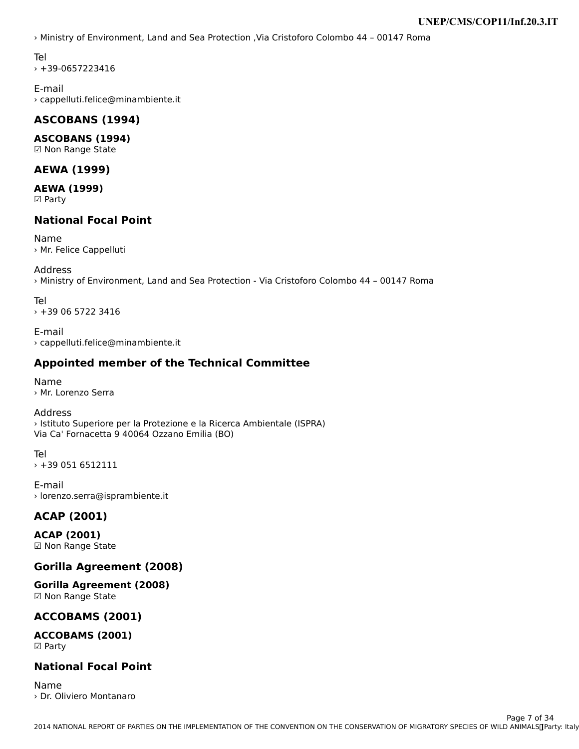› Ministry of Environment, Land and Sea Protection ,Via Cristoforo Colombo 44 – 00147 Roma

Tel

› +39-0657223416

E-mail › cappelluti.felice@minambiente.it

#### **ASCOBANS (1994)**

**ASCOBANS (1994)** ☑ Non Range State

#### **AEWA (1999)**

**AEWA (1999)** ———————————————————<br>☑ Party

#### **National Focal Point**

Name› Mr. Felice Cappelluti

#### Address

› Ministry of Environment, Land and Sea Protection - Via Cristoforo Colombo 44 – 00147 Roma

Tel› +39 06 5722 3416

E-mail › cappelluti.felice@minambiente.it

### **Appointed member of the Technical Committee**

Name› Mr. Lorenzo Serra

Address› Istituto Superiore per la Protezione e la Ricerca Ambientale (ISPRA) Via Ca' Fornacetta 9 40064 Ozzano Emilia (BO)

Tel $+39.0516512111$ 

E-mail › lorenzo.serra@isprambiente.it

### **ACAP (2001)**

**ACAP (2001)** ☑ Non Range State

### **Gorilla Agreement (2008)**

**Gorilla Agreement (2008)** ☑ Non Range State

### **ACCOBAMS (2001)**

**ACCOBAMS (2001)** ☑ Party

#### **National Focal Point**

Name› Dr. Oliviero Montanaro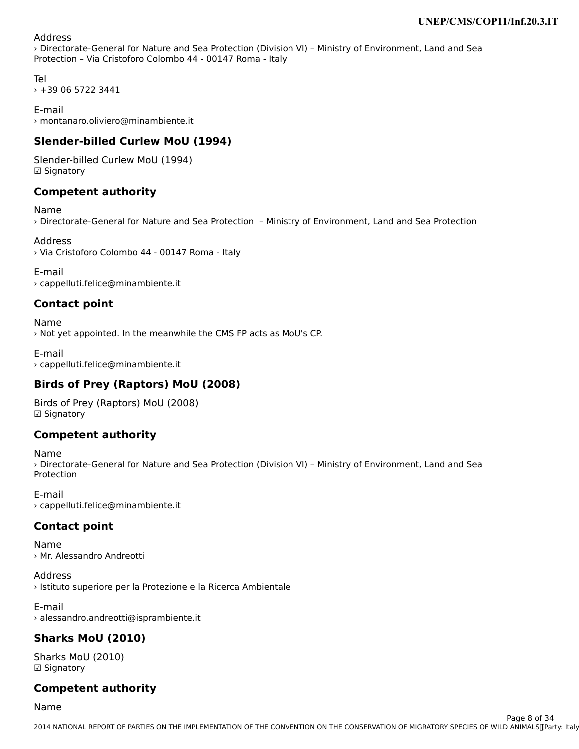#### Address

› Directorate-General for Nature and Sea Protection (Division VI) – Ministry of Environment, Land and SeaProtection – Via Cristoforo Colombo 44 - 00147 Roma - Italy

Tel› +39 06 5722 3441

E-mail› montanaro.oliviero@minambiente.it

## **Slender-billed Curlew MoU (1994)**

Slender-billed Curlew MoU (1994) **□ Signatory** 

#### **Competent authority**

Name› Directorate-General for Nature and Sea Protection – Ministry of Environment, Land and Sea Protection

Address› Via Cristoforo Colombo 44 - 00147 Roma - Italy

E-mail› cappelluti.felice@minambiente.it

### **Contact point**

Name› Not yet appointed. In the meanwhile the CMS FP acts as MoU's CP.

E-mail › cappelluti.felice@minambiente.it

## **Birds of Prey (Raptors) MoU (2008)**

Birds of Prey (Raptors) MoU (2008)Dirus Urine<br>⊡ Cianatory **□ Signatory** 

#### **Competent authority**

Name› Directorate-General for Nature and Sea Protection (Division VI) – Ministry of Environment, Land and SeaProtection

E-mail› cappelluti.felice@minambiente.it

## **Contact point**

Name› Mr. Alessandro Andreotti

Address › Istituto superiore per la Protezione e la Ricerca Ambientale

E-mail› alessandro.andreotti@isprambiente.it

## **Sharks MoU (2010)**

Sharks MoU (2010)  $\boxdot$  Signatory

## **Competent authority**

Name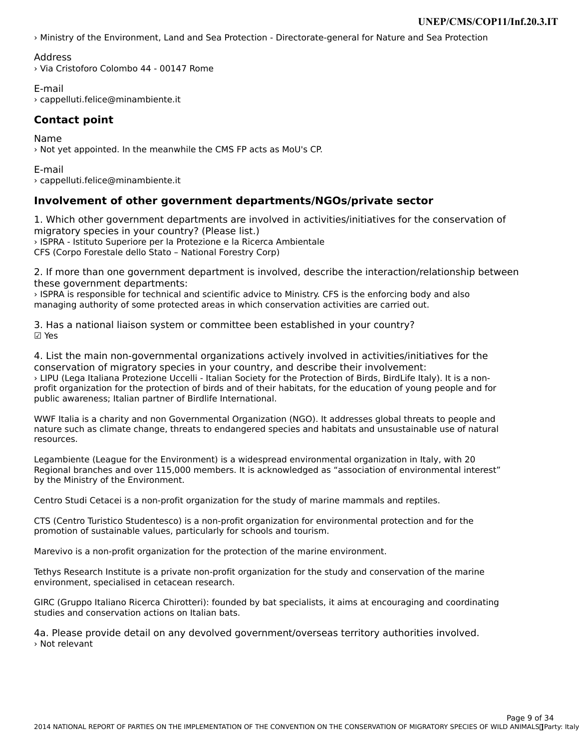› Ministry of the Environment, Land and Sea Protection - Directorate-general for Nature and Sea Protection

#### Address

› Via Cristoforo Colombo 44 - 00147 Rome

E-mail› cappelluti.felice@minambiente.it

#### **Contact point**

Name› Not yet appointed. In the meanwhile the CMS FP acts as MoU's CP.

E-mail› cappelluti.felice@minambiente.it

### **Involvement of other government departments/NGOs/private sector**

1. Which other government departments are involved in activities/initiatives for the conservation of 1. Which other government departments are inv<br>migratory species in your country? (Please list.) › ISPRA - Istituto Superiore per la Protezione e la Ricerca Ambientale CFS (Corpo Forestale dello Stato – National Forestry Corp)

2. If more than one government department is involved, describe the interaction/relationship between these government departments:

ISPRA is responsible for technical and scientific advice to Ministry. CFS is the enforcing body and also managing authority of some protected areas in which conservation activities are carried out.

3. Has a national liaison system or committee been established in your country? ☑ Yes

4. List the main non-governmental organizations actively involved in activities/initiatives for the conservation of migratory species in your country, and describe their involvement: › LIPU (Lega Italiana Protezione Uccelli - Italian Society for the Protection of Birds, BirdLife Italy). It is a nonprofit organization for the protection of birds and of their habitats, for the education of young people and for public awareness; Italian partner of Birdlife International.

WWF Italia is a charity and non Governmental Organization (NGO). It addresses global threats to people and nature such as climate change, threats to endangered species and habitats and unsustainable use of natural riature suc<br>resources.

Legambiente (League for the Environment) is a widespread environmental organization in Italy, with 20Regional branches and over 115,000 members. It is acknowledged as "association of environmental interest"Regional branches and over 115,00<br>by the Ministry of the Environment.

Centro Studi Cetacei is a non-profit organization for the study of marine mammals and reptiles.

CTS (Centro Turistico Studentesco) is a non-profit organization for environmental protection and for the promotion of sustainable values, particularly for schools and tourism.

Marevivo is a non-profit organization for the protection of the marine environment.

Tethys Research Institute is a private non-profit organization for the study and conservation of the marine environment, specialised in cetacean research.

GIRC (Gruppo Italiano Ricerca Chirotteri): founded by bat specialists, it aims at encouraging and coordinating<br>studies and conservation actions on Italian bats.

4a. Please provide detail on any devolved government/overseas territory authorities involved. › Not relevant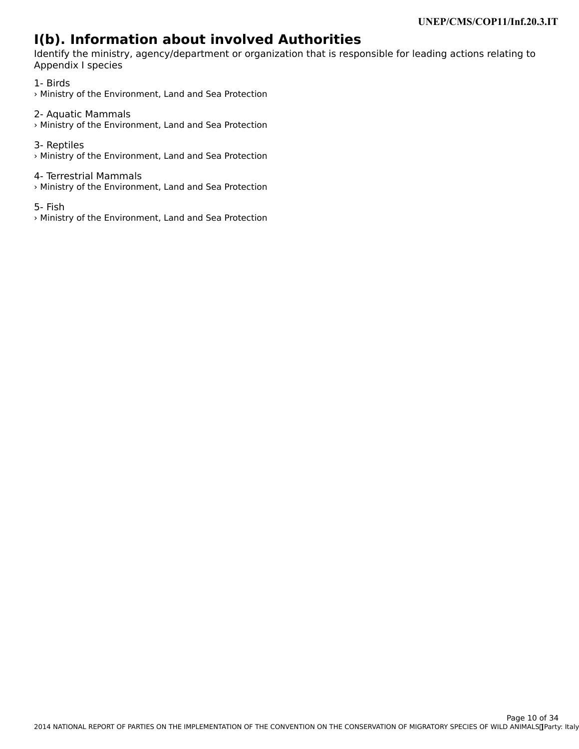# **I(b). Information about involved Authorities**

Identify the ministry, agency/department or organization that is responsible for leading actions relating to Appendix I species

1- Birds › Ministry of the Environment, Land and Sea Protection

2- Aquatic Mammals › Ministry of the Environment, Land and Sea Protection

3- Reptiles › Ministry of the Environment, Land and Sea Protection

#### 4- Terrestrial Mammals

› Ministry of the Environment, Land and Sea Protection

5- Fish

› Ministry of the Environment, Land and Sea Protection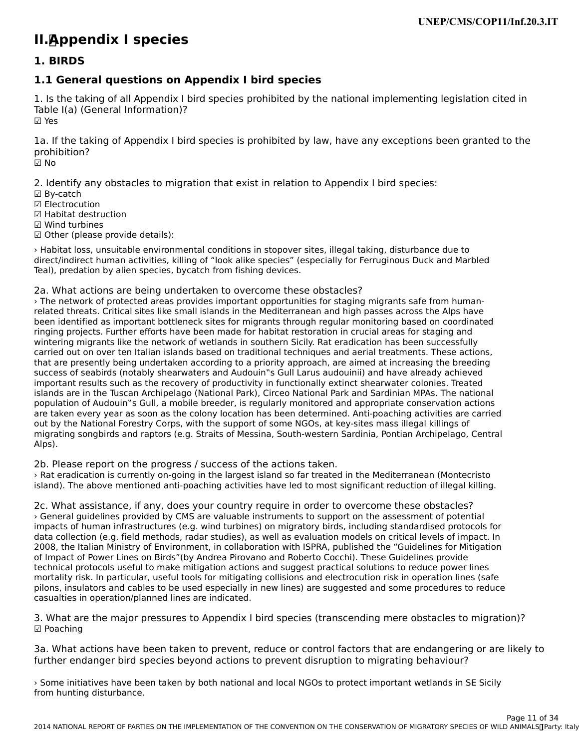# **II. Appendix I species**

#### **1. BIRDS**

### **1.1 General questions on Appendix I bird species**

1. Is the taking of all Appendix I bird species prohibited by the national implementing legislation cited in Table I(a) (General Information)? ☑ Yes

1a. If the taking of Appendix I bird species is prohibited by law, have any exceptions been granted to the prohibition?prohibition?<br>☑ No

2. Identify any obstacles to migration that exist in relation to Appendix I bird species:

- ☑ By-catch
- ⊠ By-caten<br>☑ Electrocution
- ⊠ Electrocution<br>☑ Habitat destruction
- ☑ Wind turbines
- ☑ Other (please provide details):

› Habitat loss, unsuitable environmental conditions in stopover sites, illegal taking, disturbance due to direct/indirect human activities, killing of "look alike species" (especially for Ferruginous Duck and Marbled an ecomunect numan activities, kining or nook alike species ()<br>Teal), predation by alien species, bycatch from fishing devices.

#### 2a. What actions are being undertaken to overcome these obstacles?

› The network of protected areas provides important opportunities for staging migrants safe from humanrelated threats. Critical sites like small islands in the Mediterranean and high passes across the Alps have related threats. Critical sites like sinali islands in the Mediterranean and high passes across the Alps have<br>been identified as important bottleneck sites for migrants through regular monitoring based on coordinated been identified as important bottleneck sites for migrants through regular monitoring based on coordin<br>ringing projects. Further efforts have been made for habitat restoration in crucial areas for staging and miging projects. Further enorts nave been made for nabitat restoration in crucial areas for staging and<br>wintering migrants like the network of wetlands in southern Sicily. Rat eradication has been successfully whitering migrants like the network of wedands in southern sichy. Nat eradication has been successfully<br>carried out on over ten Italian islands based on traditional techniques and aerial treatments. These actions, carried out on over ten italian islands based on traditional techniques and aerial treatments. These actions,<br>that are presently being undertaken according to a priority approach, are aimed at increasing the breeding that are presently being undertaken according to a priority approach, are almed at increasing the breeding<br>success of seabirds (notably shearwaters and Audouin"s Gull Larus audouinii) and have already achieved important results such as the recovery of productivity in functionally extinct shearwater colonies. Treated islands are in the Tuscan Archipelago (National Park), Circeo National Park and Sardinian MPAs. The national population of Audouin"s Gull, a mobile breeder, is regularly monitored and appropriate conservation actions population of Audouin"s Gull, a mobile breeder, is regularly monitored and appropriate conservation actions are taken every year as soon as the colony location has been determined. Anti-poaching activities are carried are taken every year as soon as the colony location has been determined. And-poaching activities are<br>out by the National Forestry Corps, with the support of some NGOs, at key-sites mass illegal killings of migrating songbirds and raptors (e.g. Straits of Messina, South-western Sardinia, Pontian Archipelago, Central nnyra<br>Alps).

2b. Please report on the progress / success of the actions taken.

› Rat eradication is currently on-going in the largest island so far treated in the Mediterranean (Montecristoisland). The above mentioned anti-poaching activities have led to most significant reduction of illegal killing.

2c. What assistance, if any, does your country require in order to overcome these obstacles? › General guidelines provided by CMS are valuable instruments to support on the assessment of potential impacts of human infrastructures (e.g. wind turbines) on migratory birds, including standardised protocols for data collection (e.g. field methods, radar studies), as well as evaluation models on critical levels of impact. In 2008, the Italian Ministry of Environment, in collaboration with ISPRA, published the "Guidelines for Mitigation of Impact of Power Lines on Birds"(by Andrea Pirovano and Roberto Cocchi). These Guidelines provide or impact or nower lines on birds (by Andrea movano and Roberto Coccin). These Guidelines provide<br>technical protocols useful to make mitigation actions and suggest practical solutions to reduce power lines mortality risk. In particular, useful tools for mitigating collisions and electrocution risk in operation lines (safe pilons, insulators and cables to be used especially in new lines) are suggested and some procedures to reduce phons, insulators and cabies to be used especially i<br>casualties in operation/planned lines are indicated.

3. What are the major pressures to Appendix I bird species (transcending mere obstacles to migration)?

3a. What actions have been taken to prevent, reduce or control factors that are endangering or are likely to further endanger bird species beyond actions to prevent disruption to migrating behaviour?

› Some initiatives have been taken by both national and local NGOs to protect important wetlands in SE Sicily some initiatives nave be-<br>from hunting disturbance.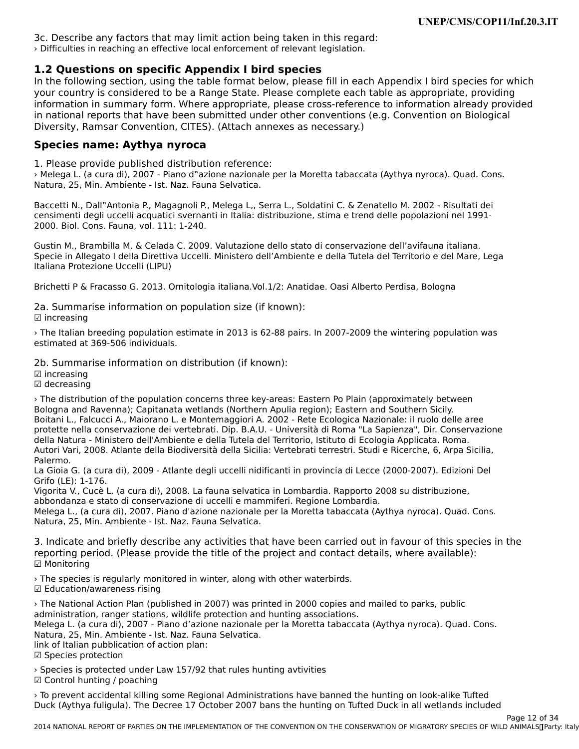3c. Describe any factors that may limit action being taken in this regard:› Difficulties in reaching an effective local enforcement of relevant legislation.

#### **1.2 Questions on specific Appendix I bird species**

**I.L Questions on spectify Appendix I bitd species**<br>In the following section, using the table format below, please fill in each Appendix I bird species for which nt the following section, asing the table format below, please him if each Appendix Folld species for wi<br>your country is considered to be a Range State. Please complete each table as appropriate, providing your country is considered to be a Kange State. Frease complete each table as appropriate, providing<br>information in summary form. Where appropriate, please cross-reference to information already provided in national reports that have been submitted under other conventions (e.g. Convention on Biological nt national reports that have been submitted under other conventions<br>Diversity, Ramsar Convention, CITES). (Attach annexes as necessary.)

### **Species name: Aythya nyroca**

1. Please provide published distribution reference:

1. Trease provide published distribution reference.<br>> Melega L. (a cura di), 2007 - Piano d"azione nazionale per la Moretta tabaccata (Aythya nyroca). Quad. Cons. Natura, 25, Min. Ambiente - Ist. Naz. Fauna Selvatica.

este della N., Dall''Antonia P., Magagnoli P., Melega L., Serra L., Soldatini C. & Zenatello M. 2002 - Risultati dei<br>Consimenti degli uspelli peruotisi suamenti in Italia: distribuzione, stimo e trand della negalazioni nel censimenti degli uccelli acquatici svernanti in Italia: distribuzione, stima e trend delle popolazioni nel 1991-2000. Biol. Cons. Fauna, vol. 111: 1-240.

Gustin M., Brambilla M. & Celada C. 2009. Valutazione dello stato di conservazione dell'avifauna italiana. Sustifi M., Brambilla M. & Celada C. 2009. Valdtazione dello stato di conservazione dell'aviladila italiana.<br>Specie in Allegato I della Direttiva Uccelli. Ministero dell'Ambiente e della Tutela del Territorio e del Mare, L Italiana Protezione Uccelli (LIPU)

Brichetti P & Fracasso G. 2013. Ornitologia italiana.Vol.1/2: Anatidae. Oasi Alberto Perdisa, Bologna

2a. Summarise information on population size (if known):

 $\boxdot$  increasing

› The Italian breeding population estimate in 2013 is 62-88 pairs. In 2007-2009 the wintering population was estimated at 369-506 individuals.

2b. Summarise information on distribution (if known):

☑ increasing

⊠ increasing<br>☑ decreasing

› The distribution of the population concerns three key-areas: Eastern Po Plain (approximately between Bologna and Ravenna); Capitanata wetlands (Northern Apulia region); Eastern and Southern Sicily. Boiogna and Kavenna), Capitanata wetianus (Northenr Apuna region), Eastern and Southern Sichy.<br>Boitani L., Falcucci A., Maiorano L. e Montemaggiori A. 2002 - Rete Ecologica Nazionale: il ruolo delle aree protette nella conservazione dei vertebrati. Dip. B.A.U. - Università di Roma "La Sapienza", Dir. Conservazione protette nella conservazione del vertebrati. Dip. B.A.O. - Oniversità di Roma - La Sapienza , Dil. Conser<br>della Natura - Ministero dell'Ambiente e della Tutela del Territorio, Istituto di Ecologia Applicata. Roma. Autori Vari, 2008. Atlante della Biodiversità della Sicilia: Vertebrati terrestri. Studi e Ricerche, 6, Arpa Sicilia, Palermo.

La Gioia G. (a cura di), 2009 - Atlante degli uccelli nidificanti in provincia di Lecce (2000-2007). Edizioni Del La Giola G. (a Cui<br>Grifo (LE): 1-176.

Vigorita V., Cucè L. (a cura di), 2008. La fauna selvatica in Lombardia. Rapporto 2008 su distribuzione, abbondanza e stato di conservazione di uccelli e mammiferi. Regione Lombardia.

abbondanza e stato di conservazione di ucceni e mammieri. Regione combardia.<br>Melega L., (a cura di), 2007. Piano d'azione nazionale per la Moretta tabaccata (Aythya nyroca). Quad. Cons. melega E., (a cura ur), zooz. Fiano u azione nazionale<br>Natura, 25, Min. Ambiente - Ist. Naz. Fauna Selvatica.

3. Indicate and briefly describe any activities that have been carried out in favour of this species in the strain the species in the species of the property of the property of the species of the property of the projection reporting period. (Please provide the title of the project and contact details, where available): ☑ Monitoring

› The species is regularly monitored in winter, along with other waterbirds. ☑ Education/awareness rising

› The National Action Plan (published in 2007) was printed in 2000 copies and mailed to parks, public a the National Action Fiam (published in 2007) was printed in 2000 copies an<br>administration, ranger stations, wildlife protection and hunting associations. auministration, ranger stations, wildlife protection and nunting associations.<br>Melega L. (a cura di), 2007 - Piano d'azione nazionale per la Moretta tabaccata (Aythya nyroca). Quad. Cons. melega E. (a cura ur), 2007 - Fiano u azione nazionale<br>Natura, 25, Min. Ambiente - Ist. Naz. Fauna Selvatica. link of Italian pubblication of action plan: ших от Italian pubblica<br>☑ Species protection

› Species is protected under Law 157/92 that rules hunting avtivities ☑ Control hunting / poaching

› To prevent accidental killing some Regional Administrations have banned the hunting on look-alike Tufted Duck (Aythya fuligula). The Decree 17 October 2007 bans the hunting on Tufted Duck in all wetlands included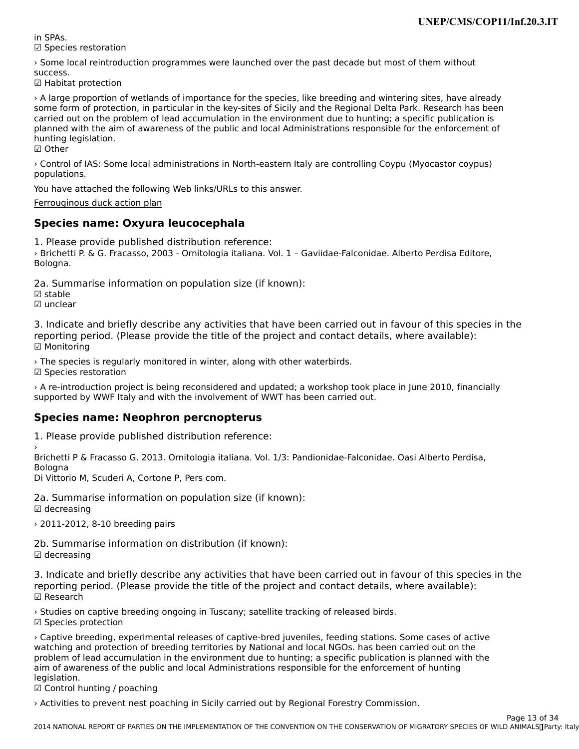in SPAs.☑ Species restoration

 $\rightarrow$  Some local reintroduction programmes were launched over the past decade but most of them without

success.<br>☑ Habitat protection

› A large proportion of wetlands of importance for the species, like breeding and wintering sites, have already some form of protection, in particular in the key-sites of Sicily and the Regional Delta Park. Research has been some form of protection, in particular in the key-sites of sicily and the regional Delta Fark. Research has been<br>carried out on the problem of lead accumulation in the environment due to hunting; a specific publication is plained with the ann of awareness of the public and local Administrations responsible for the emorcement of<br>Isostical baileting hunting legislation.

☑ Other

› Control of IAS: Some local administrations in North-eastern Italy are controlling Coypu (Myocastor coypus) populations.populations.

You have attached the following Web links/URLs to this answer.

[Ferrouginous duck action plan](http://www.minambiente.it/export/sites/default/archivio/biblioteca/protezione_natura/qcn_25.pdf)

#### **Species name: Oxyura leucocephala**

1. Please provide published distribution reference: › Brichetti P. & G. Fracasso, 2003 - Ornitologia italiana. Vol. 1 – Gaviidae-Falconidae. Alberto Perdisa Editore, Bologna.

2a. Summarise information on population size (if known):

☑ stable

⊠ stable<br>☑ unclear

3. Indicate and briefly describe any activities that have been carried out in favour of this species in the 3. muicate and brieny describe any activities that have been carried out in favour or this spectrum.<br>reporting period. (Please provide the title of the project and contact details, where available): ☑ Monitoring

› The species is regularly monitored in winter, along with other waterbirds. ☑ Species restoration

› A re-introduction project is being reconsidered and updated; a workshop took place in June 2010, financially supported by WWF Italy and with the involvement of WWT has been carried out.

#### **Species name: Neophron percnopterus**

1. Please provide published distribution reference:

,<br>Brichetti P & Fracasso G. 2013. Ornitologia italiana. Vol. 1/3: Pandionidae-Falconidae. Oasi Alberto Perdisa,<br>Palagua Bologna

Di Vittorio M, Scuderi A, Cortone P, Pers com.

2a. Summarise information on population size (if known):  $\boxtimes$  decreasing

› 2011-2012, 8-10 breeding pairs

2b. Summarise information on distribution (if known):  $\boxtimes$  decreasing

3. Indicate and briefly describe any activities that have been carried out in favour of this species in the reporting period. (Please provide the title of the project and contact details, where available):reporting period. (Please provide the title of the project and contact details, where available): ☑ Research

› Studies on captive breeding ongoing in Tuscany; satellite tracking of released birds. ☑ Species protection

› Captive breeding, experimental releases of captive-bred juveniles, feeding stations. Some cases of active watching and protection of breeding territories by National and local NGOs. has been carried out on thewatching and protection of breeding territories by National and local NGOs. has been carried out on the watching and protection of breeding territories by National and local NGOS. Has been carried out on the problem of lead accumulation in the environment due to hunting; a specific publication is planned with the aim of awareness of the public and local Administrations responsible for the enforcement of hunting allit of awa<br>legislation.

i∈gisiation:<br>☑ Control hunting / poaching

› Activities to prevent nest poaching in Sicily carried out by Regional Forestry Commission.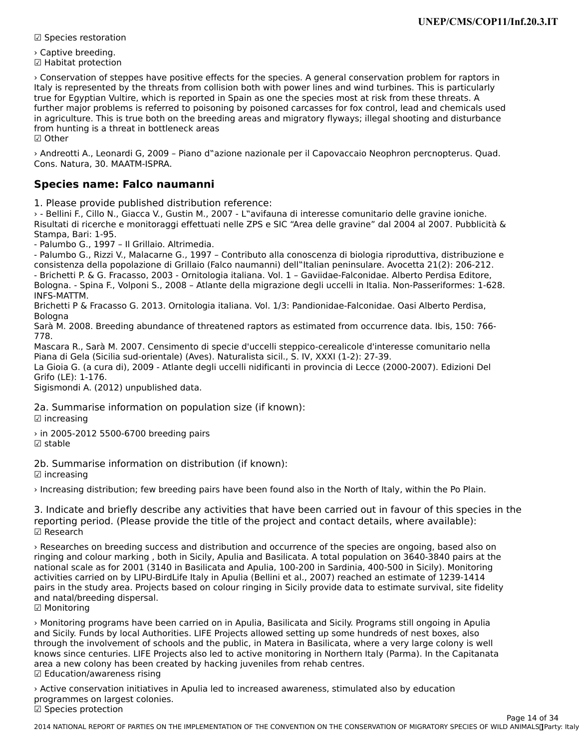☑ Species restoration

› Captive breeding.☑ Habitat protection

› Conservation of steppes have positive effects for the species. A general conservation problem for raptors in Italy is represented by the threats from collision both with power lines and wind turbines. This is particularly true for Egyptian Vultire, which is reported in Spain as one the species most at risk from these threats. A further major problems is referred to poisoning by poisoned carcasses for fox control, lead and chemicals used<br>further major problems is referred to poisoning by poisoned carcasses for fox control, lead and chemicals used in agriculture. This is true both on the breeding areas and migratory flyways; illegal shooting and disturbance In agriculture. This is the both on the breed<br>from hunting is a threat in bottleneck areas

› Andreotti A., Leonardi G, 2009 – Piano d"azione nazionale per il Capovaccaio Neophron percnopterus. Quad. Cons. Natura, 30. MAATM-ISPRA.

#### **Species name: Falco naumanni**

1. Please provide published distribution reference:

› - Bellini F., Cillo N., Giacca V., Gustin M., 2007 - L"avifauna di interesse comunitario delle gravine ioniche. 2 - Bellini I., Clilo N., Glacca V., Gustin M., 2007 - L'avitatila di literesse comunitatio delle graville lolliche.<br>Risultati di ricerche e monitoraggi effettuati nelle ZPS e SIC "Area delle gravine" dal 2004 al 2007. Pub Stampa, Bari: 1-95.

- Palumbo G., 1997 – Il Grillaio. Altrimedia.

- Palumbo G., Rizzi V., Malacarne G., 1997 – Contributo alla conoscenza di biologia riproduttiva, distribuzione e consistenza della popolazione di Grillaio (Falco naumanni) dell"Italian peninsulare. Avocetta 21(2): 206-212. - Brichetti P. & G. Fracasso, 2003 - Ornitologia italiana. Vol. 1 – Gaviidae-Falconidae. Alberto Perdisa Editore,

Bologna. - Spina F., Volponi S., 2008 – Atlante della migrazione degli uccelli in Italia. Non-Passeriformes: 1-628. INFS-MATTM.

Brichetti P & Fracasso G. 2013. Ornitologia italiana. Vol. 1/3: Pandionidae-Falconidae. Oasi Alberto Perdisa, Bologna

Bologna<br>Sarà M. 2008. Breeding abundance of threatened raptors as estimated from occurrence data. Ibis, 150: 766-<br>-778.

Mascara R., Sarà M. 2007. Censimento di specie d'uccelli steppico-cerealicole d'interesse comunitario nella Piana di Gela (Sicilia sud-orientale) (Aves). Naturalista sicil., S. IV, XXXI (1-2): 27-39.

La Gioia G. (a cura di), 2009 - Atlante degli uccelli nidificanti in provincia di Lecce (2000-2007). Edizioni Del Grifo (LE): 1-176.

Sigismondi A. (2012) unpublished data.

2a. Summarise information on population size (if known):

☑ increasing

› in 2005-2012 5500-6700 breeding pairs ☑ stable

 $\boxtimes$  stable

2b. Summarise information on distribution (if known): ☑ increasing

› Increasing distribution; few breeding pairs have been found also in the North of Italy, within the Po Plain.

3. Indicate and briefly describe any activities that have been carried out in favour of this species in the reporting period. (Please provide the title of the project and contact details, where available): ☑ Research

› Researches on breeding success and distribution and occurrence of the species are ongoing, based also on ringing and colour marking , both in Sicily, Apulia and Basilicata. A total population on 3640-3840 pairs at the national scale as for 2001 (3140 in Basilicata and Apulia, 100-200 in Sardinia, 400-500 in Sicily). Monitoring activities carried on by LIPU-BirdLife Italy in Apulia (Bellini et al., 2007) reached an estimate of 1239-1414 pairs in the study area. Projects based on colour ringing in Sicily provide data to estimate survival, site fidelity pairs in the study area. Projet<br>and natal/breeding dispersal.

☑ Monitoring

› Monitoring programs have been carried on in Apulia, Basilicata and Sicily. Programs still ongoing in Apulia and Sicily. Funds by local Authorities. LIFE Projects allowed setting up some hundreds of nest boxes, alsothrough the involvement of schools and the public, in Materia in Material and the public in the public, in a very large colony is well. knows incorporation of schools and the public, in Materia in DashMata, where a very large county is well.<br>In the Capital Capital Capitan In the Capitan Italy (Parma). In the Capital Capital Capital Capital Capital Cap knows since centuries. LIFE Projects also led to active monitoring in Northern Italy (Parma). In the Capitanata knows since centuries. En E Frojects also fed to active momening in Northern<br>area a new colony has been created by hacking juveniles from rehab centres. area a new colony nas been ci<br>☑ Education/awareness rising

› Active conservation initiatives in Apulia led to increased awareness, stimulated also by education programmes on largest colonies. programmes on large<br>☑ Species protection

2014 NATIONAL REPORT OF PARTIES ON THE IMPLEMENTATION OF THE CONVENTION OF THE CONSERVATION OF MIGRATORY SPECIES OF WILD ANIMALS INC. Page 14 of 34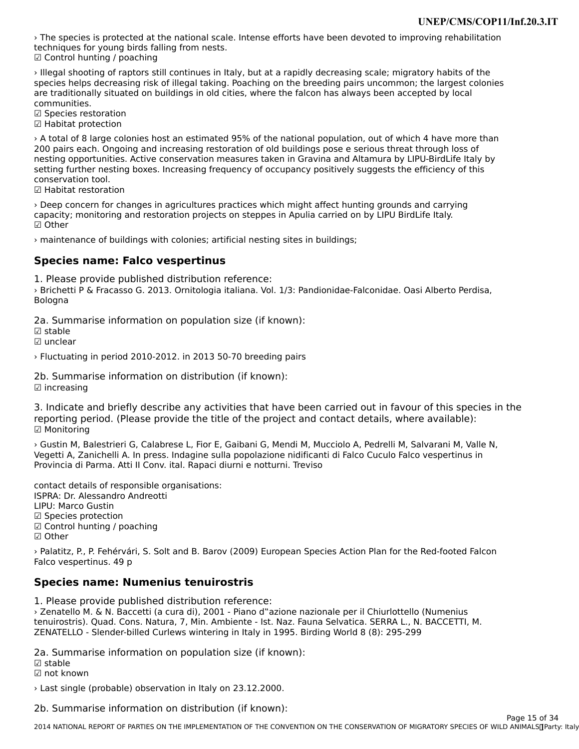› The species is protected at the national scale. Intense efforts have been devoted to improving rehabilitation techniques for young birds falling from nests.techniques for young bifus fa<br>☑ Control hunting / poaching

› Illegal shooting of raptors still continues in Italy, but at a rapidly decreasing scale; migratory habits of the s megar shooting or raptors sum continues in itary, but at a rapidly decreasing scale, migratory habits or the<br>species helps decreasing risk of illegal taking. Poaching on the breeding pairs uncommon; the largest colonies species helps decreasing risk of liegal taking. Poachling on the breeding pairs diffeominon, the largest care<br>are traditionally situated on buildings in old cities, where the falcon has always been accepted by local

☑ Species restoration

⊠ Species restoration<br>☑ Habitat protection

› A total of 8 large colonies host an estimated 95% of the national population, out of which 4 have more than 200 pairs each. Ongoing and increasing restoration of old buildings pose e serious threat through loss of the<br>200 pairs each. Ongoing and increasing restoration of old buildings pose e serious threat through loss of nesting opportunities. Active conservation measures taken in Gravina and Altamura by LIPU-BirdLife Italy by nesting opportunities. Active conservation measures taken in Gravilla and Altamara by Eli O-bildLife italy<br>setting further nesting boxes. Increasing frequency of occupancy positively suggests the efficiency of this conservation tool.<br>☑ Habitat restoration

› Deep concern for changes in agricultures practices which might affect hunting grounds and carryingcapacity; monitoring and restoration projects on steppes in Apulia carried on by LIPU BirdLife Italy. ☑ Other

› maintenance of buildings with colonies; artificial nesting sites in buildings;

#### **Species name: Falco vespertinus**

1. Please provide published distribution reference:

› Brichetti P & Fracasso G. 2013. Ornitologia italiana. Vol. 1/3: Pandionidae-Falconidae. Oasi Alberto Perdisa, s brittiet<br>Bologna

2a. Summarise information on population size (if known):

☑ unclear

› Fluctuating in period 2010-2012. in 2013 50-70 breeding pairs

2b. Summarise information on distribution (if known): ☑ increasing

3. Indicate and briefly describe any activities that have been carried out in favour of this species in the procession the reporting period. (Please provide the title of the project and contact details, where available): ☑ Monitoring

› Gustin M, Balestrieri G, Calabrese L, Fior E, Gaibani G, Mendi M, Mucciolo A, Pedrelli M, Salvarani M, Valle N, Vegetti A, Zanichelli A. In press. Indagine sulla popolazione nidificanti di Falco Cuculo Falco vespertinus in Provincia di Parma. Atti II Conv. ital. Rapaci diurni e notturni. Treviso

contact details of responsible organisations: ISPRA: Dr. Alessandro Andreotti LIPU: Marco GustinLIPU: Marco Gustin ∟ਜ ਹ: ਜ਼ਿਕਾਵਰ ਚੁਰਤਗਾ।<br>☑ Species protection ☑ Control hunting / poaching ☑ Other

› Palatitz, P., P. Fehérvári, S. Solt and B. Barov (2009) European Species Action Plan for the Red-footed Falcon Falco vespertinus. 49 pFalco vespertinus. 49 p

#### **Species name: Numenius tenuirostris**

1. Please provide published distribution reference:

› Zenatello M. & N. Baccetti (a cura di), 2001 - Piano d"azione nazionale per il Chiurlottello (Numeniustenuirostris). Quad. Cons. Natura, 7, Min. Ambiente - Ist. Naz. Fauna Selvatica. SERRA L., N. BACCETTI, M. ZENATELLO - Slender-billed Curlews wintering in Italy in 1995. Birding World 8 (8): 295-299

2a. Summarise information on population size (if known):

☑ stable

☑ not known

› Last single (probable) observation in Italy on 23.12.2000.

2b. Summarise information on distribution (if known):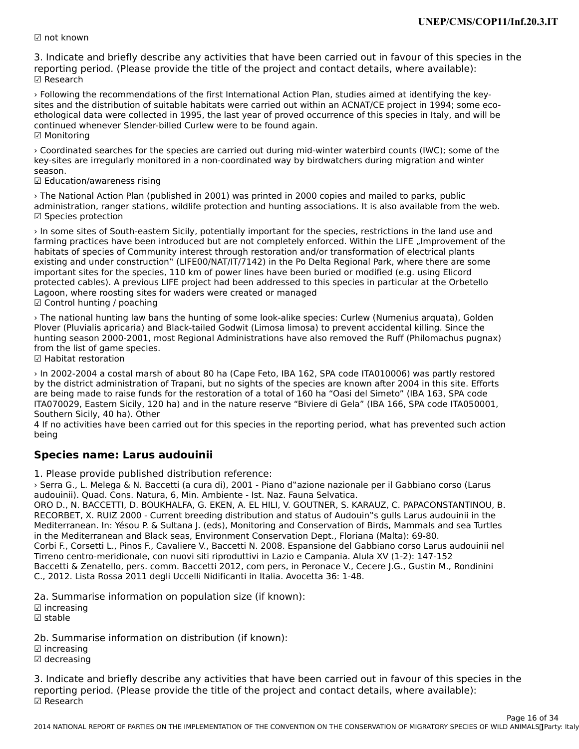☑ not known

3. Indicate and briefly describe any activities that have been carried out in favour of this species in the 3. muicate and brieny describe any activities that have been carried out in favour or this spectrum.<br>reporting period. (Please provide the title of the project and contact details, where available): ☑ Research

› Following the recommendations of the first International Action Plan, studies aimed at identifying the keysites and the distribution of suitable habitats were carried out within an ACNAT/CE project in 1994; some ecoethological data were collected in 1995, the last year of proved occurrence of this species in Italy, and will be continued whenever Slender-billed Curlew were to be found again. ☑ Monitoring

› Coordinated searches for the species are carried out during mid-winter waterbird counts (IWC); some of the key-sites are irregularly monitored in a non-coordinated way by birdwatchers during migration and winter season.

☑ Education/awareness rising

› The National Action Plan (published in 2001) was printed in 2000 copies and mailed to parks, public administration, ranger stations, wildlife protection and hunting associations. It is also available from the web. aummistration, range<br>☑ Species protection

› In some sites of South-eastern Sicily, potentially important for the species, restrictions in the land use and farming practices have been introduced but are not completely enforced. Within the LIFE "Improvement of thefarming practices have been introduced but are not completely enforced. Within the LIFE "Improvement of the raming practices nave been introduced but are not completely emorced. Within the Eli E "improvement<br>habitats of species of Community interest through restoration and/or transformation of electrical plants existing and under construction" (LIFE00/NAT/IT/7142) in the Po Delta Regional Park, where there are some important sites for the species, 110 km of power lines have been buried or modified (e.g. using Elicordnifiportant sites for the species, 110 Km or power lines have been buried or modified (e.g. using Litchu<br>protected cables). A previous LIFE project had been addressed to this species in particular at the Orbetello protected cables). A previous EITE project had been addressed to t<br>Lagoon, where roosting sites for waders were created or managed ☑ Control hunting / poaching

› The national hunting law bans the hunting of some look-alike species: Curlew (Numenius arquata), Golden Plover (Pluvialis apricaria) and Black-tailed Godwit (Limosa limosa) to prevent accidental killing. Since the hunting season 2000-2001, most Regional Administrations have also removed the Ruff (Philomachus pugnax) from the list of game species.

⊓om the list or game<br>☑ Habitat restoration

› In 2002-2004 a costal marsh of about 80 ha (Cape Feto, IBA 162, SPA code ITA010006) was partly restored by the district administration of Trapani, but no sights of the species are known after 2004 in this site. Effortsby the district administration of Trapani, but no sights of the species are known after 2004 in this site. Efforts by the district administration of frapalli, but no sights of the species are known after 2004 in this site. Eno<br>are being made to raise funds for the restoration of a total of 160 ha "Oasi del Simeto" (IBA 163, SPA code are being made to raise runds for the restoration or a total or 100 ha. Oasi der Simeto (IBA 165, SPA code ITA050001,<br>ITA070029, Eastern Sicily, 120 ha) and in the nature reserve "Biviere di Gela" (IBA 166, SPA code ITA050 Southern Sicily, 40 ha). Other

Southern Sichy, 40 ha). Other<br>4 If no activities have been carried out for this species in the reporting period, what has prevented such action<br>heing

#### **Species name: Larus audouinii**

1. Please provide published distribution reference:

› Serra G., L. Melega & N. Baccetti (a cura di), 2001 - Piano d"azione nazionale per il Gabbiano corso (Larus audouinii). Quad. Cons. Natura, 6, Min. Ambiente - Ist. Naz. Fauna Selvatica.

addodini). Quad. Coris. Natura, 0, Min. Ambiente - ist. Naz. radha Selvatica.<br>ORO D., N. BACCETTI, D. BOUKHALFA, G. EKEN, A. EL HILI, V. GOUTNER, S. KARAUZ, C. PAPACONSTANTINOU, B. RECORBET, X. RUIZ 2000 - Current breeding distribution and status of Audouin"s gulls Larus audouinii in the Mediterranean. In: Yésou P. & Sultana J. (eds), Monitoring and Conservation of Birds, Mammals and sea Turtles in the Mediterranean and Black seas, Environment Conservation Dept., Floriana (Malta): 69-80. Corbi F., Corsetti L., Pinos F., Cavaliere V., Baccetti N. 2008. Espansione del Gabbiano corso Larus audouinii nel Tirreno centro-meridionale, con nuovi siti riproduttivi in Lazio e Campania. Alula XV (1-2): 147-152 Baccetti & Zenatello, pers. comm. Baccetti 2012, com pers, in Peronace V., Cecere J.G., Gustin M., Rondinini Baccetti & Zenatello, pers. comm. Baccetti 2012, com pers, in refonace V., ca<br>C., 2012. Lista Rossa 2011 degli Uccelli Nidificanti in Italia. Avocetta 36: 1-48.

2a. Summarise information on population size (if known):

☑ increasing☑ stable

2b. Summarise information on distribution (if known):

☑ increasing

⊠ increasing<br>☑ decreasing

3. Indicate and briefly describe any activities that have been carried out in favour of this species in the 3. muicate and brieny describe any activities that have been carried out in favour or this spectrum.<br>reporting period. (Please provide the title of the project and contact details, where available): ☑ Research

2014 NATIONAL REPORT OF PARTIES ON THE IMPLEMENTATION OF THE CONVENTION OF THE CONSERVATION OF MIGRATORY SPECIES OF WILD ANIMALS INC. Page 16 of 34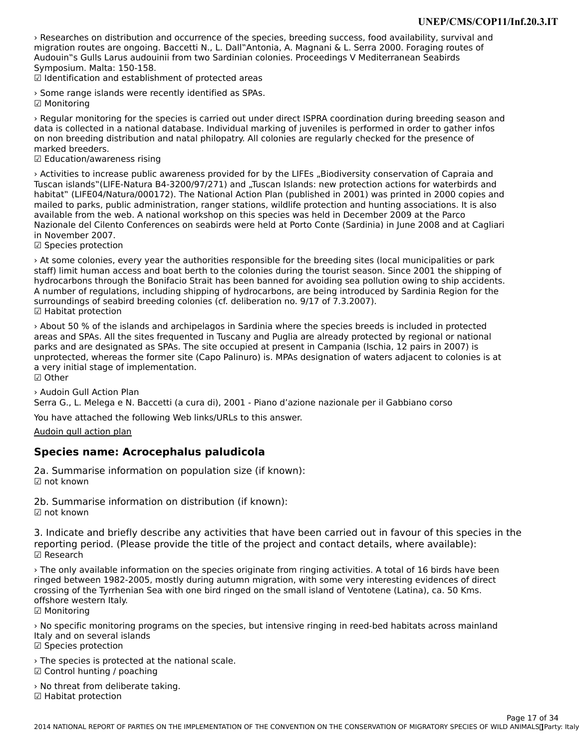› Researches on distribution and occurrence of the species, breeding success, food availability, survival and migration routes are ongoing. Baccetti N., L. Dall"Antonia, A. Magnani & L. Serra 2000. Foraging routes of Audouin"s Gulls Larus audouinii from two Sardinian colonies. Proceedings V Mediterranean Seabirds Symposium. Malta: 150-158.

ວymposium: Maita: 150-156.<br>☑ Identification and establishment of protected areas

› Some range islands were recently identified as SPAs. ☑ Monitoring

› Regular monitoring for the species is carried out under direct ISPRA coordination during breeding season and data is collected in a national database. Individual marking of juveniles is performed in order to gather infoson a concelled in a manufacture distribution and natal philopatrical philopatry checked for the presence of the presence of the presence of the presence of the presence of the presence of the presence of the presence of th on non breeding distribution and natal philopatry. All colonies are regularly checked for the presence of marked breeders.

rnarked breeders.<br>☑ Education/awareness rising

> Activities to increase public awareness provided for by the LIFEs "Biodiversity conservation of Capraia and Tuscan islands"(LIFE-Natura B4-3200/97/271) and "Tuscan Islands: new protection actions for waterbirds and habitat" (LIFE04/Natura/000172). The National Action Plan (published in 2001) was printed in 2000 copies and mailed to parks, public administration, ranger stations, wildlife protection and hunting associations. It is alsoavailable from the web. A national workshop on this species was held in December 2009 at the Parco Nazionale del Cilento Conferences on seabirds were held at Porto Conte (Sardinia) in June 2008 and at Cagliari in November 2007.

ш November 2007.<br>☑ Species protection

› At some colonies, every year the authorities responsible for the breeding sites (local municipalities or park staff) limit human access and boat berth to the colonies during the tourist season. Since 2001 the shipping ofstaff) limit human access and boat berth to the colonies during the tourist season. Since 2001 the shipping of hydrocarbons through the Bonifacio Strait has been banned for avoiding sea pollution owing to ship accidents. A number of regulations, including shipping of hydrocarbons, are being introduced by Sardinia Region for the surroundings of seabird breeding colonies (cf. deliberation no. 9/17 of 7.3.2007). surrounungs or seab<br>☑ Habitat protection

About 50 % of the islands and archipelagos in Sardinia where the species breeds is included in protected in and  $\Gamma$ uscani are already protected by regional or national or national or national or national or national or na areas and are she diesigned as SPAS. The site of the site of the site of the site of the site of the site of the site of the site of the site of the site of the site of the site of the site of the site of the site of the s parks and are designated as SPAs. The site occupied at present in Campania (Ischia, 12 pairs in 2007) is unprotected, whereas the former site (Capo Palinuro) is. MPAs designation of waters adjacent to colonies is at anprocected, whereas the former site (displaced) ☑ Other

› Audoin Gull Action Plan

Serra G., L. Melega e N. Baccetti (a cura di), 2001 - Piano d'azione nazionale per il Gabbiano corso

You have attached the following Web links/URLs to this answer.

[Audoin gull action plan](http://www.minambiente.it/biblioteca/quaderni-di-conservazione-della-natura-n-6-piano-dazione-nazionale-il-gabbiano-corso-0)

#### **Species name: Acrocephalus paludicola**

2a. Summarise information on population size (if known): ☑ not known

2b. Summarise information on distribution (if known): ☑ not known

3. Indicate and briefly describe any activities that have been carried out in favour of this species in the reporting period. (Please provide the title of the project and contact details, where available):reporting period. (Please provide the title of the project and contact details, where available): ☑ Research

› The only available information on the species originate from ringing activities. A total of 16 birds have been ringed between 1982-2005, mostly during autumn migration, with some very interesting evidences of direct inged between 1982-2005, mostly during autumn migration, with some very interesting evidences of direct crossing of the fyrmenian sea with one bild miged on the small island of ventotene (Latina), ca. 30 Kms.<br>Closened offshore western Italy. ບ⊓ຣ⊓ບເ∈ wesເ<br>☑ Monitoring

› No specific monitoring programs on the species, but intensive ringing in reed-bed habitats across mainland *Tho specific monitoring pro*<br>Italy and on several islands itary and on severar⊪<br>☑ Species protection

› The species is protected at the national scale. ☑ Control hunting / poaching $\boxtimes$  Control hunting / poaching

› No threat from deliberate taking. ☑ Habitat protection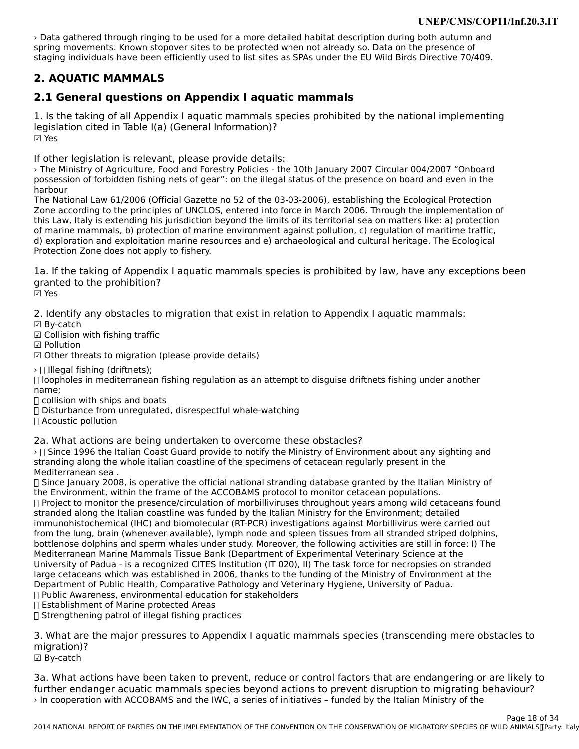› Data gathered through ringing to be used for a more detailed habitat description during both autumn and spring movements. Known stopover sites to be protected when not already so. Data on the presence of spring indvenients. Known stopover sites to be protected when not already so. Data on the presence or<br>staging individuals have been efficiently used to list sites as SPAs under the EU Wild Birds Directive 70/409.

## **2. AQUATIC MAMMALS**

## **2.1 General questions on Appendix I aquatic mammals**

1. Is the taking of all Appendix I aquatic mammals species prohibited by the national implementing legislation cited in Table I(a) (General Information)?☑ Yes

If other legislation is relevant, please provide details:

› The Ministry of Agriculture, Food and Forestry Policies - the 10th January 2007 Circular 004/2007 "Onboard The Ministry of Agriculture, I bod and Torestry Folicies - the Iberi January 2007 Circular 004/2007 Onboard<br>possession of forbidden fishing nets of gear": on the illegal status of the presence on board and even in the

The National Law 61/2006 (Official Gazette no 52 of the 03-03-2006), establishing the Ecological Protection Zone according to the principles of UNCLOS, entered into force in March 2006. Through the implementation of this Law, Italy is extending his jurisdiction beyond the limits of its territorial sea on matters like: a) protection of marine mammals, b) protection of marine environment against pollution, c) regulation of maritime traffic, d) exploration and exploitation marine resources and e) archaeological and cultural heritage. The Ecological a) exploration and exploitation manneries<br>Protection Zone does not apply to fishery.

1a. If the taking of Appendix I aquatic mammals species is prohibited by law, have any exceptions been granted to the prohibition?☑ Yes

2. Identify any obstacles to migration that exist in relation to Appendix I aquatic mammals:

☑ By-catch

- ☑ Collision with fishing traffic
- ☑ Pollution

☑ Other threats to migration (please provide details)

 $\rightarrow$   $\Box$  Illegal fishing (driftnets);

/ II megar nshing (unithets),<br>[I loopholes in mediterranean fishing regulation as an attempt to disguise driftnets fishing under another name;

name,<br> $\Box$  collision with ships and boats

□ comsion with sinps and boats<br>□ Disturbance from unregulated, disrespectful whale-watching

□ Disturbance nom<br>∏ Acoustic pollution

2a. What actions are being undertaken to overcome these obstacles?

za. What actions are being undertaken to overcome these obstactes:<br>> [] Since 1996 the Italian Coast Guard provide to notify the Ministry of Environment about any sighting and stranding along the whole italian coastline of the specimens of cetacean regularly present in the<br>stranding along the whole italian coastline of the specimens of cetacean regularly present in the Mediterranean sea .

weunemanean sea .<br>∏ Since January 2008, is operative the official national stranding database granted by the Italian Ministry of the Environment, within the frame of the ACCOBAMS protocol to monitor cetacean populations. If Project to monitor the presence/circulation of morbilliviruses throughout years among wild cetaceans found<br>I Project to monitor the presence/circulation of morbilliviruses throughout years among wild cetaceans found stranded along the Italian coastline was funded by the Italian Ministry for the Environment; detailed stranded along the italian coastlife was funded by the italian ministry for the Environment, detailed<br>from the lung, brain (IHC) and biomolecular (RT-PCR) investigations against Morbillivirus were carried out bottlene lung, brain (whenever available), tymph howe and spiech ussues normal stranded striped dolphins, bottlenose dolphins and sperm whales under study. Moreover, the following activities are still in force: I) The Mediterranean Marine Mammals Tissue Bank (Department of Experimental Veterinary Science at the University of Padua - is a recognized CITES Institution (IT 020), II) The task force for necropsies on stranded large cetaceans which was established in 2006, thanks to the funding of the Ministry of Environment at the large cetacearis which was established in 2000, thanks to the running of the Ministry of Environmental educatio<br>Department of Public Health, Comparative Pathology and Veterinary Hygiene, University of Padua.

□ Public Awareness, environmental education for stakeholders<br>□ Establishment of Marine protected Areas

⊔ Establishment of Manne protected Areas<br>∏ Strengthening patrol of illegal fishing practices

3. What are the major pressures to Appendix I aquatic mammals species (transcending mere obstacles to

☑ By-catch

3a. What actions have been taken to prevent, reduce or control factors that are endangering or are likely to further endanger acuatic mammals species beyond actions to prevent disruption to migrating behaviour?› In cooperation with ACCOBAMS and the IWC, a series of initiatives – funded by the Italian Ministry of the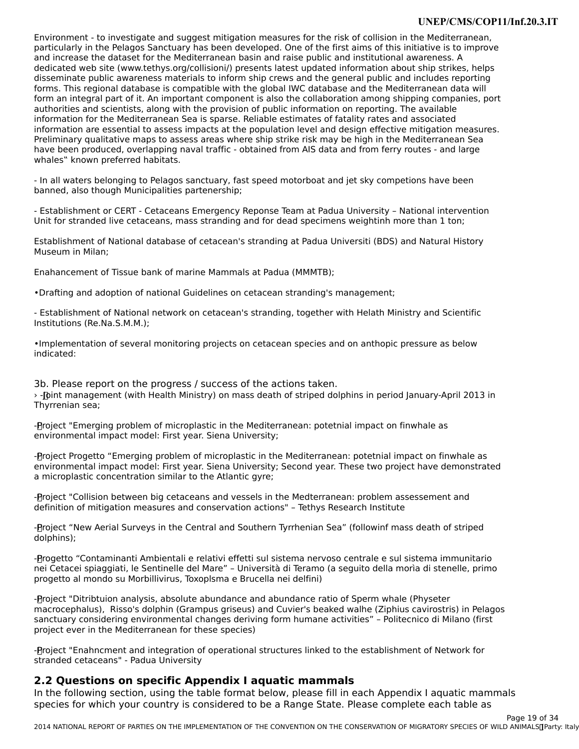#### **UNEP/CMS/COP11/Inf.20.3.IT**

Environment - to investigate and suggest mitigation measures for the risk of collision in the Mediterranean, particularly in the Pelagos Sanctuary has been developed. One of the first aims of this initiative is to improve particularity in the relagos Sanctuary has been developed. One or the mist alms of this initiative is to<br>and increase the dataset for the Mediterranean basin and raise public and institutional awareness. A and increase the dataset for the Mediterranean basin and raise public and institutional awareness. A<br>dedicated web site (www.tethys.org/collisioni/) presents latest updated information about ship strikes, helps disseminate public awareness materials to inform ship crews and the general public and includes reporting forms. This regional database is compatible with the global IWC database and the Mediterranean data will forms. This regional database is compatible with the global two database and the Mediterranean data will<br>form an integral part of it. An important component is also the collaboration among shipping companies, port form an integral part of it. An important component is also the conaboration among sinpping compa<br>authorities and scientists, along with the provision of public information on reporting. The available difformation for the Mediterranean Sea is sparse. Reliable estimated of fatality rates and associated<br>information for the Mediterranean Sea is sparse. Reliable estimates of fatality rates and associated information are essential to assess impacts at the population level and design effective mitigation measures. Preliminary qualitative maps to assess areas where ship strike risk may be high in the Mediterranean Sea have been produced, overlapping naval traffic - obtained from AIS data and from ferry routes - and large nave been produced, ovenapping i<br>whales" known preferred habitats.

- In all waters belonging to Pelagos sanctuary, fast speed motorboat and jet sky competions have been banned, also though Municipalities partenership;

- Establishment or CERT - Cetaceans Emergency Reponse Team at Padua University – National intervention - Establishment of CENT - Cetaceans Emergency Reponse Team at Faqua Oniversity – National litterve<br>Unit for stranded live cetaceans, mass stranding and for dead specimens weightinh more than 1 ton;

Establishment of National database of cetacean's stranding at Padua Universiti (BDS) and Natural History Museum in Milan;

Enahancement of Tissue bank of marine Mammals at Padua (MMMTB);

•Drafting and adoption of national Guidelines on cetacean stranding's management;

- Establishment of National network on cetacean's stranding, together with Helath Ministry and Scientific - Establishment or National<br>Institutions (Re.Na.S.M.M.);

•Implementation of several monitoring projects on cetacean species and on anthopic pressure as below indicated:

3b. Please report on the progress / success of the actions taken. SD: Tiedse Teport on the progress / success of the actions taken.<br>> -[pint management (with Health Ministry) on mass death of striped dolphins in period January-April 2013 in Thyrrenian sea;

-<br>Project "Emerging problem of microplastic in the Mediterranean: potetnial impact on finwhale as environmental impact model: First year. Siena University;

-<br>Project Progetto "Emerging problem of microplastic in the Mediterranean: potetnial impact on finwhale as -groject Frogetto "Emerging problem of inicroplastic in the Mediterranean. potetinal impact on iniwhale as<br>environmental impact model: First year. Siena University; Second year. These two project have demonstrated a microplastic concentration similar to the Atlantic gyre;

-<br>Project "Collision between big cetaceans and vessels in the Medterranean: problem assessement and definition of mitigation measures and conservation actions" – Tethys Research Institute

-<br>Project "New Aerial Surveys in the Central and Southern Tyrrhenian Sea" (followinf mass death of striped יז oject<br>dolphins);

- Progetto "Contaminanti Ambientali e relativi effetti sul sistema nervoso centrale e sul sistema immunitario nei Cetacei spiaggiati, le Sentinelle del Mare" – Università di Teramo (a seguito della morìa di stenelle, primo progetto al mondo su Morbillivirus, Toxoplsma e Brucella nei delfini)

-<br>Project "Ditribtuion analysis, absolute abundance and abundance ratio of Sperm whale (Physeter macrocephalus), Risso's dolphin (Grampus griseus) and Cuvier's beaked walhe (Ziphius cavirostris) in Pelagos sanctuary considering environmental changes deriving form humane activities" – Politecnico di Milano (first project ever in the Mediterranean for these species)

-<br>Project "Enahncment and integration of operational structures linked to the establishment of Network for stranded cetaceans" - Padua University

### **2.2 Questions on specific Appendix I aquatic mammals**

2.2 Questions on specific Appendix I aquatic mammars<br>In the following section, using the table format below, please fill in each Appendix I aquatic mammals species for which your country is considered to be a Range State. Please complete each table as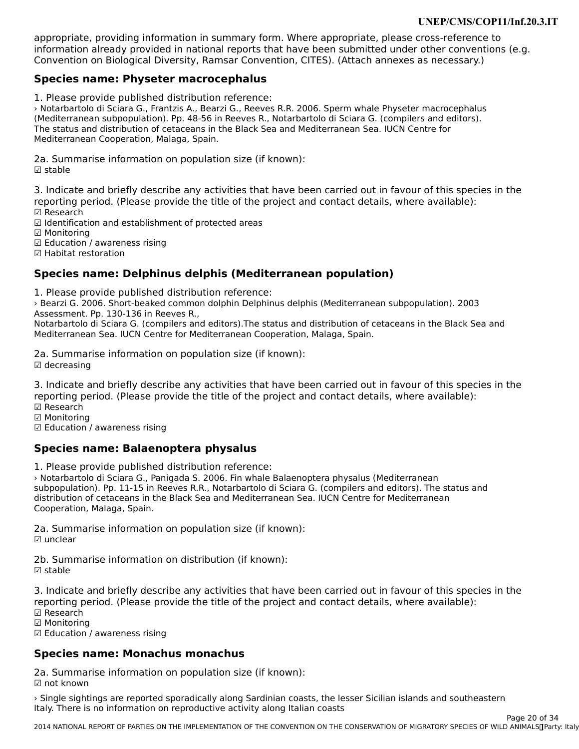appropriate, providing information in summary form. Where appropriate, please cross-reference to appropriate, providing information in summary form. Where appropriate, please cross-reference to<br>information already provided in national reports that have been submitted under other conventions (e.g. Convention on Biological Diversity, Ramsar Convention, CITES). (Attach annexes as necessary.)

#### **Species name: Physeter macrocephalus**

1. Please provide published distribution reference:

› Notarbartolo di Sciara G., Frantzis A., Bearzi G., Reeves R.R. 2006. Sperm whale Physeter macrocephalus (Mediterranean subpopulation). Pp. 48-56 in Reeves R., Notarbartolo di Sciara G. (compilers and editors). (Mediterranean Subpopulation). Tp: 40-50 in Reeves R., Notarbartolo di Sciara G. (Complets and e<br>The status and distribution of cetaceans in the Black Sea and Mediterranean Sea. IUCN Centre for Mediterranean Cooperation, Malaga, Spain.

2a. Summarise information on population size (if known): ☑ stable

3. Indicate and briefly describe any activities that have been carried out in favour of this species in the 3. muicate and brieny describe any activities that have been carried out in favour or this spectrum.<br>reporting period. (Please provide the title of the project and contact details, where available):

☑ Research

☑ Identification and establishment of protected areas

☑ Monitoring

☑ Education / awareness rising ☑ Habitat restoration

### **Species name: Delphinus delphis (Mediterranean population)**

1. Please provide published distribution reference:

› Bearzi G. 2006. Short-beaked common dolphin Delphinus delphis (Mediterranean subpopulation). 2003 Assessment. Pp. 130-136 in Reeves R.,

Notarbartolo di Sciara G. (compilers and editors).The status and distribution of cetaceans in the Black Sea and Mediterranean Sea. IUCN Centre for Mediterranean Cooperation, Malaga, Spain.

2a. Summarise information on population size (if known): ☑ decreasing

3. Indicate and briefly describe any activities that have been carried out in favour of this species in the strain the species in the species of the property of the property of the species of the property of the projection reporting period. (Please provide the title of the project and contact details, where available): ☑ Research

☑ Monitoring

☑ Education / awareness rising

### **Species name: Balaenoptera physalus**

1. Please provide published distribution reference:

› Notarbartolo di Sciara G., Panigada S. 2006. Fin whale Balaenoptera physalus (Mediterranean subpopulation). Pp. 11-15 in Reeves R.R., Notarbartolo di Sciara G. (compilers and editors). The status and distribution of cetaceans in the Black Sea and Mediterranean Sea. IUCN Centre for Mediterranean Cooperation, Malaga, Spain.

2a. Summarise information on population size (if known): ☑ unclear

2b. Summarise information on distribution (if known): ☑ stable

3. Indicate and briefly describe any activities that have been carried out in favour of this species in the procession the reporting period. (Please provide the title of the project and contact details, where available):

☑ Research

⊠ Research<br>☑ Monitoring

☑ Education / awareness rising

### **Species name: Monachus monachus**

2a. Summarise information on population size (if known):  $\boxtimes$  not known

› Single sightings are reported sporadically along Sardinian coasts, the lesser Sicilian islands and southeastern Italy. There is no information on reproductive activity along Italian coastsItaly. There is no information on reproductive activity along Italian coasts

2014 NATIONAL REPORT OF PARTIES ON THE IMPLEMENTATION OF THE CONVENTION OF THE CONSERVATION OF MIGRATORY SPECIES OF WILD ANIMALS INCLUDED Page 20 of 34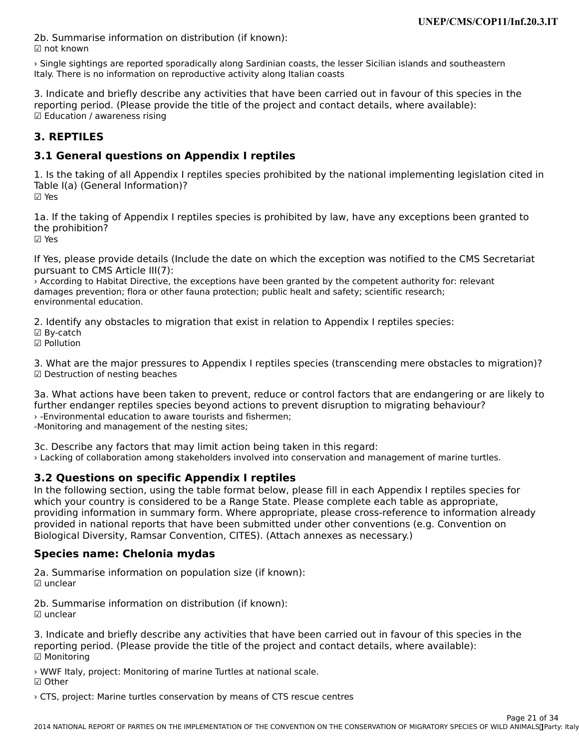2b. Summarise information on distribution (if known):☑ not known

› Single sightings are reported sporadically along Sardinian coasts, the lesser Sicilian islands and southeastern If ally example signitings are reported sporadically along addition coasts, the let

3. Indicate and briefly describe any activities that have been carried out in favour of this species in the procession the reporting period. (Please provide the title of the project and contact details, where available): reporting period: (i lease pro<br>☑ Education / awareness rising

#### **3. REPTILES**

### **3.1 General questions on Appendix I reptiles**

1. Is the taking of all Appendix I reptiles species prohibited by the national implementing legislation cited in<br>Table 1(a) (General Information)? Table I(a) (General Information)? ☑ Yes

1a. If the taking of Appendix I reptiles species is prohibited by law, have any exceptions been granted to Ia. If the taking<br>the prohibition?

☑ Yes

If Yes, please provide details (Include the date on which the exception was notified to the CMS Secretariat pursuant to CMS Article III(7):

parsuality to this Article in (7).<br>
Execording to Habitat Directive, the exceptions have been granted by the competent authority for: relevant<br>
in the competent authority for the fauna protection; public healt and safety; ualitages prevention, nora or other radiia protection, public fieati and safety, scientific research, environmental education.

2. Identify any obstacles to migration that exist in relation to Appendix I reptiles species:

☑ By-catch

☑ Pollution

3. What are the major pressures to Appendix I reptiles species (transcending mere obstacles to migration)?  $\boxtimes$  Destruction of nesting beaches

3a. What actions have been taken to prevent, reduce or control factors that are endangering or are likely to further endanger reptiles species beyond actions to prevent disruption to migrating behaviour? › -Environmental education to aware tourists and fishermen; **-Lilvilorimental education to aware tourists and i**<br>-Monitoring and management of the nesting sites;

3c. Describe any factors that may limit action being taken in this regard: › Lacking of collaboration among stakeholders involved into conservation and management of marine turtles.

### **3.2 Questions on specific Appendix I reptiles**

In the following section, using the table format below, please fill in each Appendix I reptiles species for<br>which your country is considered to be a Banne State. Please consulate as the ble as appropriate, which your country is considered to be a Range State. Please complete each table as appropriate, which your country is considered to be a Kange State. Frease complete each table as appropriate,<br>providing information in summary form. Where appropriate, please cross-reference to information already Biological Diversity, Ramsar Convention, Ramsar Convention, C.G. Convention, C.G. Convention, C.C. Convention, Biological Diversity, Ramsar Convention, CITES). (Attach annexes as necessary.)

### **Species name: Chelonia mydas**

2a. Summarise information on population size (if known): ☑ unclear

2b. Summarise information on distribution (if known): ∠p. ∋um<br>☑ unclear

3. Indicate and briefly describe any activities that have been carried out in favour of this species in the 3. muicate and brieny describe any activities that have been carried out in favour or this spectrum.<br>reporting period. (Please provide the title of the project and contact details, where available): ☑ Monitoring

› WWF Italy, project: Monitoring of marine Turtles at national scale. ☑ Other☑ Other

› CTS, project: Marine turtles conservation by means of CTS rescue centres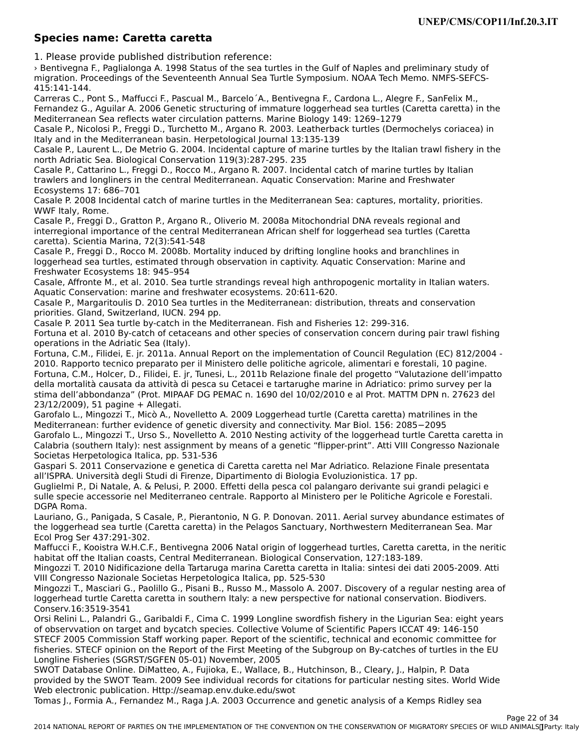#### **Species name: Caretta caretta**

1. Please provide published distribution reference:

› Bentivegna F., Paglialonga A. 1998 Status of the sea turtles in the Gulf of Naples and preliminary study of migration. Proceedings of the Seventeenth Annual Sea Turtle Symposium. NOAA Tech Memo. NMFS-SEFCS-415:141-144.

415.141-144.<br>Carreras C., Pont S., Maffucci F., Pascual M., Barcelo´A., Bentivegna F., Cardona L., Alegre F., SanFelix M., Fernandez G., Aguilar A. 2006 Genetic structuring of immature loggerhead sea turtles (Caretta caretta) in the Mediterranean Sea reflects water circulation patterns. Marine Biology 149: 1269–1279

Mediterranean Sea renects water chiculation patterns. Manne Biology 149. 1209–1279<br>Casale P., Nicolosi P., Freggi D., Turchetto M., Argano R. 2003. Leatherback turtles (Dermochelys coriacea) in Italy and in the Mediterranean basin. Herpetological Journal 13:135-139

Casale P., Laurent L., De Metrio G. 2004. Incidental capture of marine turtles by the Italian trawl fishery in the north Adriatic Sea. Biological Conservation 119(3):287-295. 235

Casale P., Cattarino L., Freggi D., Rocco M., Argano R. 2007. Incidental catch of marine turtles by Italian Casale F., Cattarino E., Freggi D., Rocco M., Argano R. 2007. Incluental cattri of marine turtles by its<br>trawlers and longliners in the central Mediterranean. Aquatic Conservation: Marine and Freshwater Ecosystems 17: 686-701

Casale P. 2008 Incidental catch of marine turtles in the Mediterranean Sea: captures, mortality, priorities. WWF Italy, Rome.

Casale P., Freggi D., Gratton P., Argano R., Oliverio M. 2008a Mitochondrial DNA reveals regional and interregional importance of the central Mediterranean African shelf for loggerhead sea turtles (Caretta caretta). Scientia Marina, 72(3):541-548

Casale P., Freggi D., Rocco M. 2008b. Mortality induced by drifting longline hooks and branchlines in Casale F., Freggi D., Rocco M. 2006b. Mortality induced by uniting longine hooks and branchines in<br>loggerhead sea turtles, estimated through observation in captivity. Aquatic Conservation: Marine and roggerneau sea turties, estimateu th<br>Freshwater Ecosystems 18: 945–954

Casale, Affronte M., et al. 2010. Sea turtle strandings reveal high anthropogenic mortality in Italian waters. Aquatic Conservation: marine and freshwater ecosystems. 20:611-620.

Aquatic Conservation: manne and neshwater ecosystems. 20.011-020.<br>Casale P., Margaritoulis D. 2010 Sea turtles in the Mediterranean: distribution, threats and conservation priorities. Gland, Switzerland, IUCN. 294 pp.

Casale P. 2011 Sea turtle by-catch in the Mediterranean. Fish and Fisheries 12: 299-316.

Casale 1. 2011 Sea turne by-catch in the Meuternanean. Than and Tisheries 12. 299-310.<br>Fortuna et al. 2010 By-catch of cetaceans and other species of conservation concern during pair trawl fishing operations in the Adriatic Sea (Italy).

Fortuna, C.M., Filidei, E. jr. 2011a. Annual Report on the implementation of Council Regulation (EC) 812/2004 - 2010. Rapporto tecnico preparato per il Ministero delle politiche agricole, alimentari e forestali, 10 pagine. Fortuna, C.M., Holcer, D., Filidei, E. jr, Tunesi, L., 2011b Relazione finale del progetto "Valutazione dell'impatto della mortalità causata da attività di pesca su Cetacei e tartarughe marine in Adriatico: primo survey per la della mortalità causata da attività di pesca su cetacer e tartardghe marille in Adriatico. Primo survey per la<br>stima dell'abbondanza" (Prot. MIPAAF DG PEMAC n. 1690 del 10/02/2010 e al Prot. MATTM DPN n. 27623 del 23/12/2009), 51 pagine + Allegati.

Garofalo L., Mingozzi T., Micò A., Novelletto A. 2009 Loggerhead turtle (Caretta caretta) matrilines in the Garofalo L., Mingozzi T., Mico A., Novelletto A. 2009 Euggerhead turtle (Caretta caretta) mathillies in the lo<br>Mediterranean: further evidence of genetic diversity and connectivity. Mar Biol. 156: 2085−2095 Calabria (southern Italy): nest as significant by meaning activity of the negotial three calendaries of a gene<br>Calabria (southern Italy) Calabria (Southern Raly). Hest assignment by means of a genetic implement in Alti vill Congresso Nazionale Societas Herpetologica Italica, pp. 531-536

Gaspari S. 2011 Conservazione e genetica di Caretta caretta nel Mar Adriatico. Relazione Finale presentata all'ISPRA. Università degli Studi di Firenze, Dipartimento di Biologia Evoluzionistica. 17 pp.

Guglielmi P., Di Natale, A. & Pelusi, P. 2000. Effetti della pesca col palangaro derivante sui grandi pelagici e sugnemi r., Di Natale, A. & Felusi, F. 2000. Lifetti della pesca coi palangalo derivante sui grandi pelagici e<br>sulle specie accessorie nel Mediterraneo centrale. Rapporto al Ministero per le Politiche Agricole e Forestali. sune specie (<br>DGPA Roma.

Lauriano, G., Panigada, S Casale, P., Pierantonio, N G. P. Donovan. 2011. Aerial survey abundance estimates ofLauriano, G., Fanigada, 5 Casaie, F., Fierantonio, N.G. F. Donovan. 2011. Aeriar survey abundance estimates<br>the loggerhead sea turtle (Caretta caretta) in the Pelagos Sanctuary, Northwestern Mediterranean Sea. Mar the loggerhead sea turtle (t<br>Ecol Prog Ser 437:291-302.

Maffucci F., Kooistra W.H.C.F., Bentivegna 2006 Natal origin of loggerhead turtles, Caretta caretta, in the neritic habitat off the Italian coasts, Central Mediterranean. Biological Conservation, 127:183-189.

Mingozzi T. 2010 Nidificazione della Tartaruga marina Caretta caretta in Italia: sintesi dei dati 2005-2009. Atti Mingozzi I. 2010 Municazione dena Tartaruga marina Caretta caretta<br>VIII Congresso Nazionale Societas Herpetologica Italica, pp. 525-530

vin Congresso Nazionale Societas Herpetologica Italica, pp. 525-550<br>Mingozzi T., Masciari G., Paolillo G., Pisani B., Russo M., Massolo A. 2007. Discovery of a regular nesting area of Mingozzi T., Mascian G., Faolino G., Fisani B., Russo M., Massolo A. 2007. Discovery of a regular nesting are<br>loggerhead turtle Caretta caretta in southern Italy: a new perspective for national conservation. Biodivers. Conserv.16:3519-3541

Orsi Relini L., Palandri G., Garibaldi F., Cima C. 1999 Longline swordfish fishery in the Ligurian Sea: eight years of observvation on target and bycatch species. Collective Volume of Scientific Papers ICCAT 49: 146-150 of observation on target and bycaten species. Collective volume of scientific rapers ICCAT 49. 140-150<br>STECF 2005 Commission Staff working paper. Report of the scientific, technical and economic committee for fisheries. STECF opinion on the Report of the First Meeting of the Subgroup on By-catches of turtles in the EU Longline Fisheries (SGRST/SGFEN 05-01) November, 2005

Longinie Tisheries (SGRST/SGFLN 05-01) November, 2009<br>SWOT Database Online. DiMatteo, A., Fujioka, E., Wallace, B., Hutchinson, B., Cleary, J., Halpin, P. Data provided by the Swother cannot be a seamap and the seamap. The changes in particular nesting sites, world wide<br>Web electronic sublication. Http://seamap.env.duke.edu/sunt Web electronic publication. Http://seamap.env.duke.edu/swot

web electronic publication. Tittp.//seamap.env.uuke.euu/swot<br>Tomas J., Formia A., Fernandez M., Raga J.A. 2003 Occurrence and genetic analysis of a Kemps Ridley sea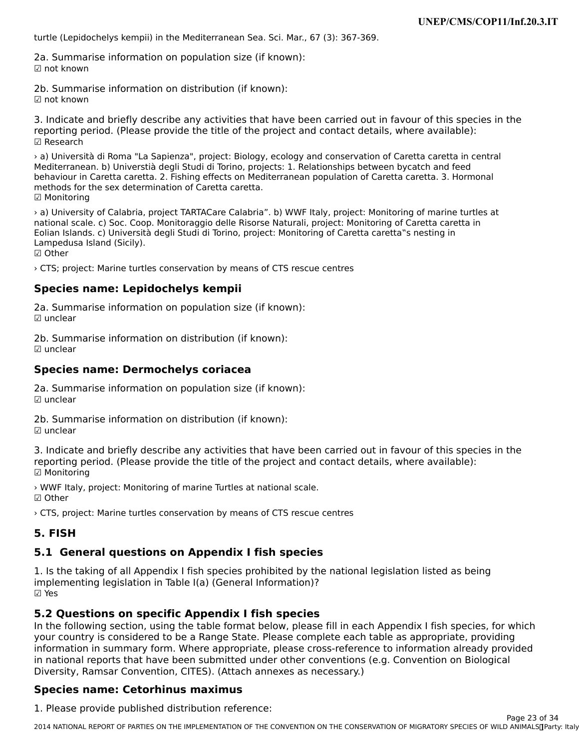turtle (Lepidochelys kempii) in the Mediterranean Sea. Sci. Mar., 67 (3): 367-369.

2a. Summarise information on population size (if known): ☑ not known

2b. Summarise information on distribution (if known): ☑ not known

3. Indicate and briefly describe any activities that have been carried out in favour of this species in the 3. muicate and brieny describe any activities that have been carried out in favour or this spectrum.<br>reporting period. (Please provide the title of the project and contact details, where available): ☑ Research

› a) Università di Roma "La Sapienza", project: Biology, ecology and conservation of Caretta caretta in central Mediterranean. b) Universtià degli Studi di Torino, projects: 1. Relationships between bycatch and feed behaviour in Caretta caretta. 2. Fishing effects on Mediterranean population of Caretta caretta. 3. Hormonal methods for the sex determination of Caretta caretta. ☑ Monitoring

› a) University of Calabria, project TARTACare Calabria". b) WWF Italy, project: Monitoring of marine turtles at national scale. c) Soc. Coop. Monitoraggio delle Risorse Naturali, project: Monitoring of Caretta caretta in national scale. c) Soc. Coop. Monitoraggio delle Kisorse Naturali, project. Monitoring of Caretta care<br>Eolian Islands. c) Università degli Studi di Torino, project: Monitoring of Caretta caretta"s nesting in<br>Lampedus (Sici Lampedusa Island (Sicily).

☑ Other

› CTS; project: Marine turtles conservation by means of CTS rescue centres

#### **Species name: Lepidochelys kempii**

2a. Summarise information on population size (if known): ☑ unclear

2b. Summarise information on distribution (if known): ☑ unclear

#### **Species name: Dermochelys coriacea**

2a. Summarise information on population size (if known): ☑ unclear

2b. Summarise information on distribution (if known): ☑ unclear

3. Indicate and briefly describe any activities that have been carried out in favour of this species in the 3. muicate and brieny describe any activities that have been carried out in favour or this spectrum.<br>reporting period. (Please provide the title of the project and contact details, where available): ☑ Monitoring

› WWF Italy, project: Monitoring of marine Turtles at national scale. ☑ Other

› CTS, project: Marine turtles conservation by means of CTS rescue centres

#### **5. FISH**

### **5.1 General questions on Appendix I fish species**

1. Is the taking of all Appendix I fish species prohibited by the national legislation listed as being 1. is the taking of all Appendix I half species promoted by the<br>implementing legislation in Table I(a) (General Information)? ☑ Yes

#### **5.2 Questions on specific Appendix I fish species**

IT QUESTIONS ON SPECTIVE APPENUM ITISH SPECIES<br>In the following section, using the table format below, please fill in each Appendix I fish species, for which your country is considered to be a Range State. Please complete each table as appropriate, providing your country is considered to be a nange state. Thease complete each table as appropriate, providing<br>information in summary form. Where appropriate, please cross-reference to information already provided in national reports that have been submitted under other conventions (e.g. Convention on Biological Diversity, Ramsar Convention, CITES). (Attach annexes as necessary.)Diversity, Ramsar Convention, CITES). (Attach annexes as necessary.)

#### **Species name: Cetorhinus maximus**

1. Please provide published distribution reference: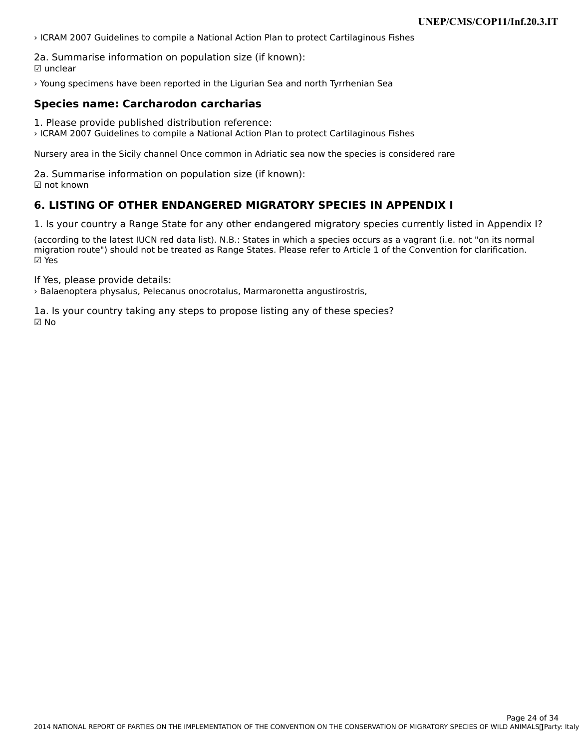› ICRAM 2007 Guidelines to compile a National Action Plan to protect Cartilaginous Fishes

2a. Summarise information on population size (if known): ☑ unclear

› Young specimens have been reported in the Ligurian Sea and north Tyrrhenian Sea

### **Species name: Carcharodon carcharias**

1. Please provide published distribution reference:

› ICRAM 2007 Guidelines to compile a National Action Plan to protect Cartilaginous Fishes

Nursery area in the Sicily channel Once common in Adriatic sea now the species is considered rare

2a. Summarise information on population size (if known): ☑ not known

#### **6. LISTING OF OTHER ENDANGERED MIGRATORY SPECIES IN APPENDIX I**

1. Is your country a Range State for any other endangered migratory species currently listed in Appendix I?

(according to the latest IUCN red data list). N.B.: States in which a species occurs as a vagrant (i.e. not "on its normal migration route") should not be treated as Range States. Please refer to Article 1 of the Convention for clarification. ☑ Yes

If Yes, please provide details:

› Balaenoptera physalus, Pelecanus onocrotalus, Marmaronetta angustirostris,

1a. Is your country taking any steps to propose listing any of these species? ☑ No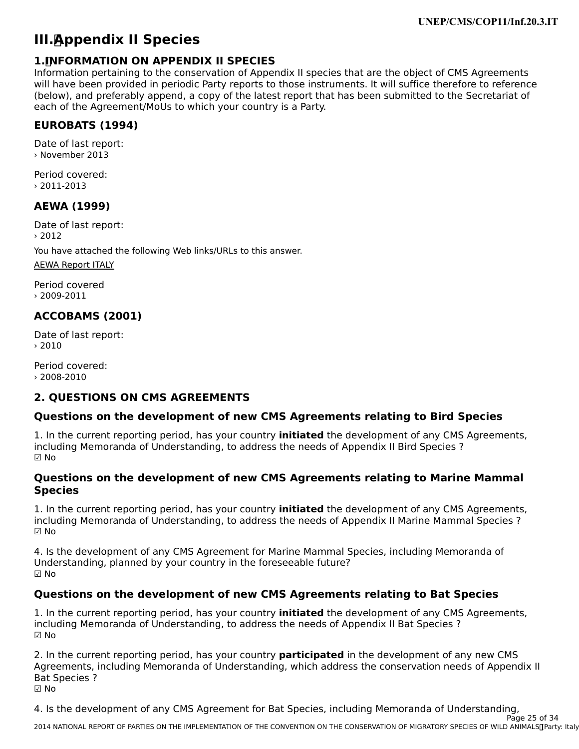# **III. Appendix II Species**

#### **1. INFORMATION ON APPENDIX II SPECIES**

**Information pertaining to the conservation of Appendix II species that are the object of CMS Agreements** will have been provided in periodic Party reports to those instruments. It will suffice therefore to reference will have been provided in periodic rarty reports to those instruments. It will suffice therefore to reference<br>(below), and preferably append, a copy of the latest report that has been submitted to the Secretariat of each of the Agreement/MoUs to which your country is a Party.

### **EUROBATS (1994)**

Date of last report: › November 2013

Period covered:› 2011-2013

### **AEWA (1999)**

Date of last report: › 2012

You have attached the following Web links/URLs to this answer.

[AEWA Report ITALY](http://www.unep-aewa.org/sites/default/files/document/italy_national_report_2009_2011_mop5_0.pdf)

Period covered› 2009-2011

### **ACCOBAMS (2001)**

Date of last report:  $> 2010$ 

Period covered: › 2008-2010

#### **2. QUESTIONS ON CMS AGREEMENTS**

#### **Questions on the development of new CMS Agreements relating to Bird Species**

1. In the current reporting period, has your country **initiated** the development of any CMS Agreements, including Memoranda of Understanding, to address the needs of Appendix II Bird Species ? ☑ No

#### **Questions on the development of new CMS Agreements relating to Marine Mammal SpeciesSpecies**

1. In the current reporting period, has your country **initiated** the development of any CMS Agreements, mentional vientional of onderstanding, to address the needs of Appendix in Marine Marinhar Species :  $\boxtimes$  No

4. Is the development of any CMS Agreement for Marine Mammal Species, including Memoranda of Understanding, planned by your country in the foreseeable future? ☑ No

### **Questions on the development of new CMS Agreements relating to Bat Species**

1. In the current reporting period, has your country **initiated** the development of any CMS Agreements, including Memoranda of Understanding, to address the needs of Appendix II Bat Species ? ☑ No

2. In the current reporting period, has your country **participated** in the development of any new CMS<br>Agreements, including Memoranda of Understanding, which address the conservation needs of Appendix II Agreements, including Memoranda of Understanding, which address the conservation needs of Appendix II Agreements,<br>Bat Species ? ☑ No

4. Is the development of any CMS Agreement for Bat Species, including Memoranda of Understanding,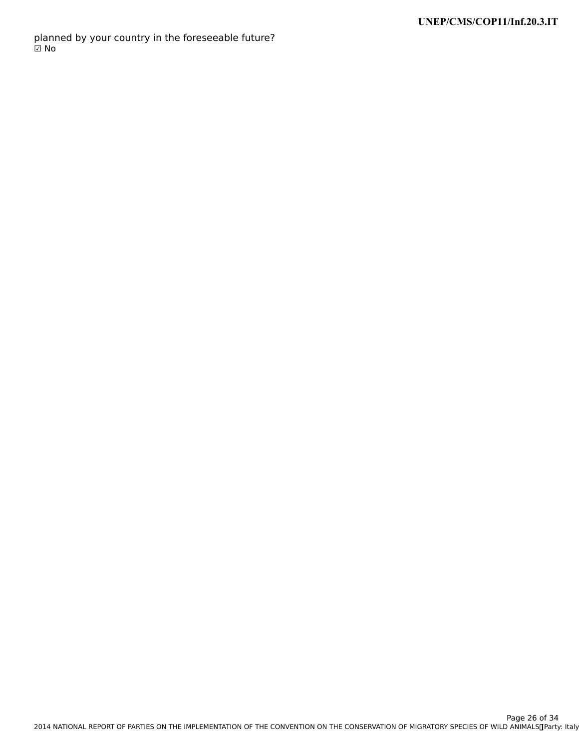planned by your country in the foreseeable future?<br>☑ No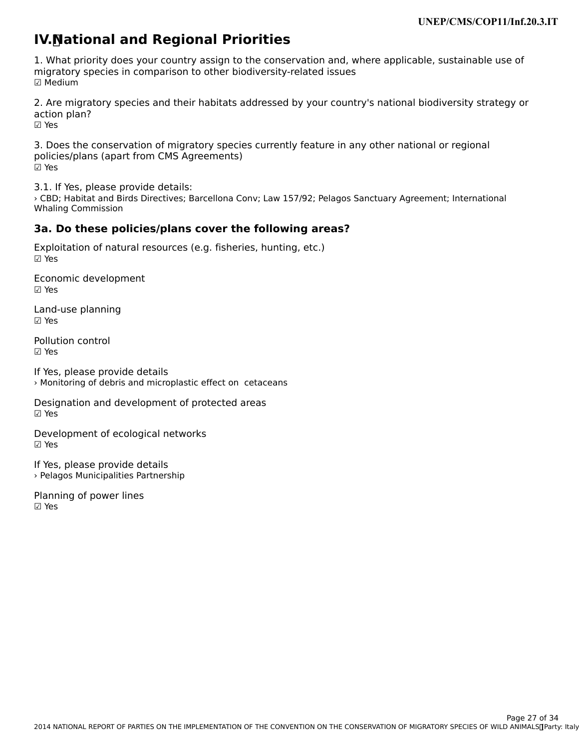# **IV. National and Regional Priorities**

1. What priority does your country assign to the conservation and, where applicable, sustainable use of migratory species in comparison to other biodiversity-related issues mığı acor y<br>☑ Medium

2. Are migratory species and their habitats addressed by your country's national biodiversity strategy or action plan? ☑ Yes

3. Does the conservation of migratory species currently feature in any other national or regional policies/plans (apart from CMS Agreements) ☑ Yes

3.1. If Yes, please provide details:

› CBD; Habitat and Birds Directives; Barcellona Conv; Law 157/92; Pelagos Sanctuary Agreement; International Whaling Commission

### **3a. Do these policies/plans cover the following areas?**

Exploitation of natural resources (e.g. fisheries, hunting, etc.)

Economic development ☑ Yes

Land-use planning ☑ Yes

Pollution control☑ Yes

If Yes, please provide details › Monitoring of debris and microplastic effect on cetaceans

Designation and development of protected areas ☑ Yes

Development of ecological networks ☑ Yes

If Yes, please provide details › Pelagos Municipalities Partnership

Planning of power lines ☑ Yes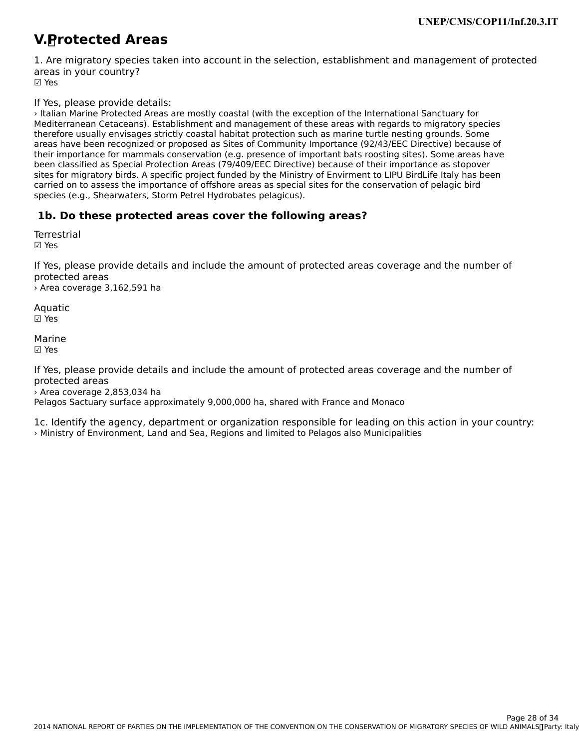#### **V. Protected Areas**

1. Are migratory species taken into account in the selection, establishment and management of protected areas in your country? ur∈u∍<br>☑ Yes

If Yes, please provide details:

› Italian Marine Protected Areas are mostly coastal (with the exception of the International Sanctuary for Mediterranean Cetaceans). Establishment and management of these areas with regards to migratory species mediterration cetacearis). Establishment and management or these areas with regards to inigratory species<br>therefore usually envisages strictly coastal habitat protection such as marine turtle nesting grounds. Some areas have been recognized or proposed as Sites of Community Importance (92/43/EEC Directive) because of areas have been recognized or proposed as sites or community importance (32/43/LLC Directive) because or<br>their importance for mammals conservation (e.g. presence of important bats roosting sites). Some areas have been classified as Special Protection Areas (79/409/EEC Directive) because of their importance as stopover been classified as Special Protection Areas (79/409/LLC Difective) because of their importance as stopover<br>sites for migratory birds. A specific project funded by the Ministry of Envirment to LIPU BirdLife Italy has been carried on to assess the importance of offshore areas as special sites for the conservation of pelagic bird species (e.g., Shearwaters, Storm Petrel Hydrobates pelagicus).

### **1b. Do these protected areas cover the following areas?**

**Terrestrial** ☑ Yes

If Yes, please provide details and include the amount of protected areas coverage and the number of protected areasprotected areas

› Area coverage 3,162,591 ha

Aquatic ☑ Yes

Marine☑ Yes

If Yes, please provide details and include the amount of protected areas coverage and the number of protected areasprotected areas<br>> Area coverage 2,853,034 ha

Pelagos Sactuary surface approximately 9,000,000 ha, shared with France and Monaco

1c. Identify the agency, department or organization responsible for leading on this action in your country: › Ministry of Environment, Land and Sea, Regions and limited to Pelagos also Municipalities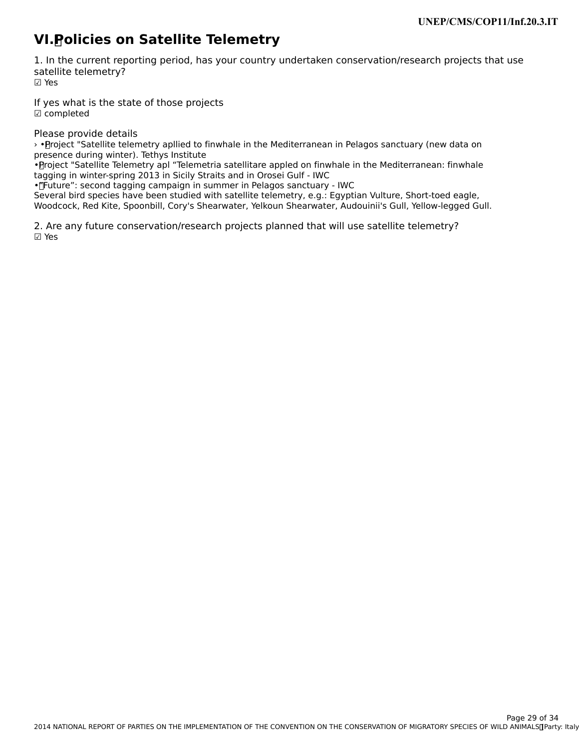# **VI. Policies on Satellite Telemetry**

1. In the current reporting period, has your country undertaken conservation/research projects that use satellite telemetry? ☑ Yes

If yes what is the state of those projects ☑ completed

Please provide details

› • Project "Satellite telemetry apllied to finwhale in the Mediterranean in Pelagos sanctuary (new data on presence during winter). Tethys Institute

presence during winter). Tetriys institute<br>• Project "Satellite Telemetry apl "Telemetria satellitare appled on finwhale in the Mediterranean: finwhale tagging in winter-spring 2013 in Sicily Straits and in Orosei Gulf - IWC

ragging in winter-spring 2013 in Sichy Straits and in Oroser Guir - IWC<br>• "Future": second tagging campaign in summer in Pelagos sanctuary - IWC

Several bird species have been studied with satellite telemetry, e.g.: Egyptian Vulture, Short-toed eagle, Woodcock, Red Kite, Spoonbill, Cory's Shearwater, Yelkoun Shearwater, Audouinii's Gull, Yellow-legged Gull.

2. Are any future conservation/research projects planned that will use satellite telemetry? ☑ Yes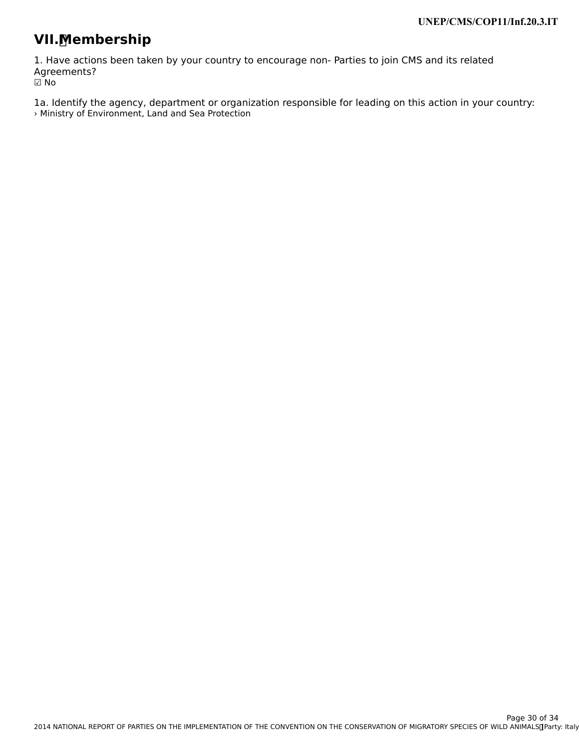# **VII. Membership**

1. Have actions been taken by your country to encourage non- Parties to join CMS and its related Agreements? י⊃ישר<br>D No

1a. Identify the agency, department or organization responsible for leading on this action in your country: › Ministry of Environment, Land and Sea Protection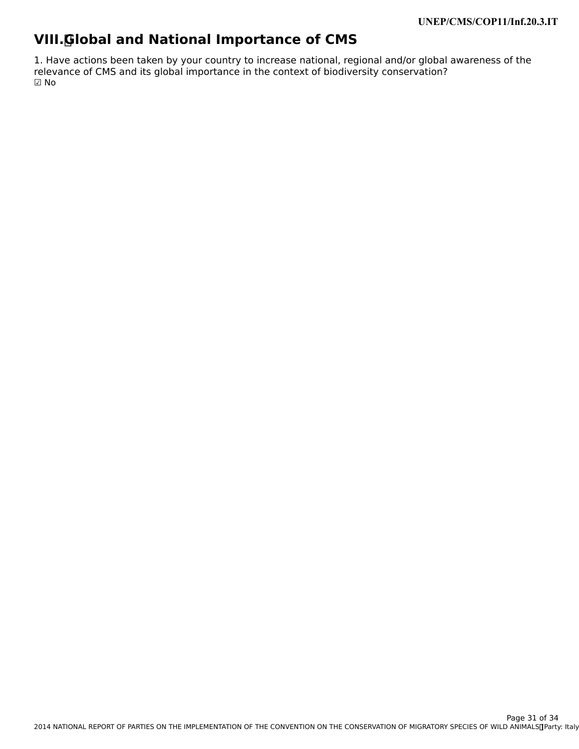# **VIII. Global and National Importance of CMS**

1. Have actions been taken by your country to increase national, regional and/or global awareness of the<br>relevance of CMS and its global importance in the context of biodiversity conservation?  $\boxdot$  No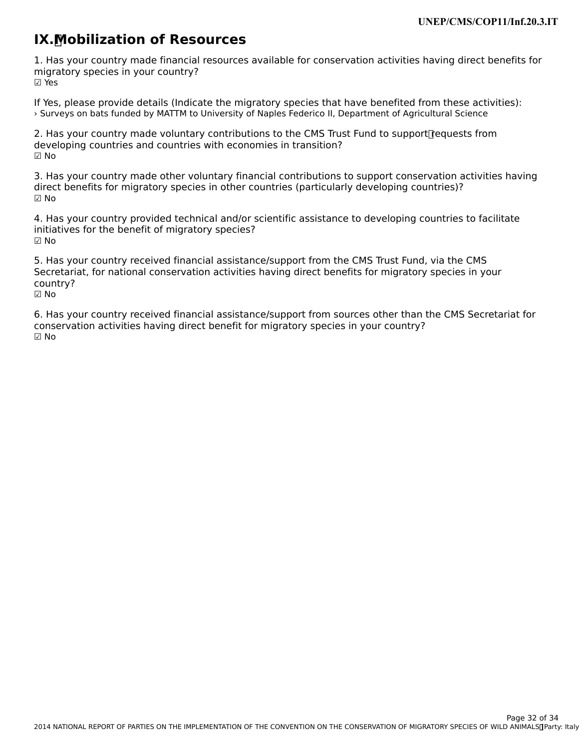# **IX. Mobilization of Resources**

1. Has your country made financial resources available for conservation activities having direct benefits for migratory species in your country? ☑ Yes

If Yes, please provide details (Indicate the migratory species that have benefited from these activities): › Surveys on bats funded by MATTM to University of Naples Federico II, Department of Agricultural Science

2. Has your country made voluntary contributions to the CMS Trust Fund to support requests from developing countries and countries with economies in transition? ☑ No

3. Has your country made other voluntary financial contributions to support conservation activities having in the species of the species of the species of the species of the species of the species of the species of the spe direct benefits for migratory species in other countries (particularly developing countries)? ☑ No

4. Has your country provided technical and/or scientific assistance to developing countries to facilitate initiatives for the benefit of migratory species? ☑ No

5. Has your country received financial assistance/support from the CMS Trust Fund, via the CMS Secretariat, for national conservation activities having direct benefits for migratory species in your secretari<br>country? ☑ No

6. Has your country received financial assistance/support from sources other than the CMS Secretariat for o. Thas your country received imancial assistance/support from sources other than<br>conservation activities having direct benefit for migratory species in your country? ☑ No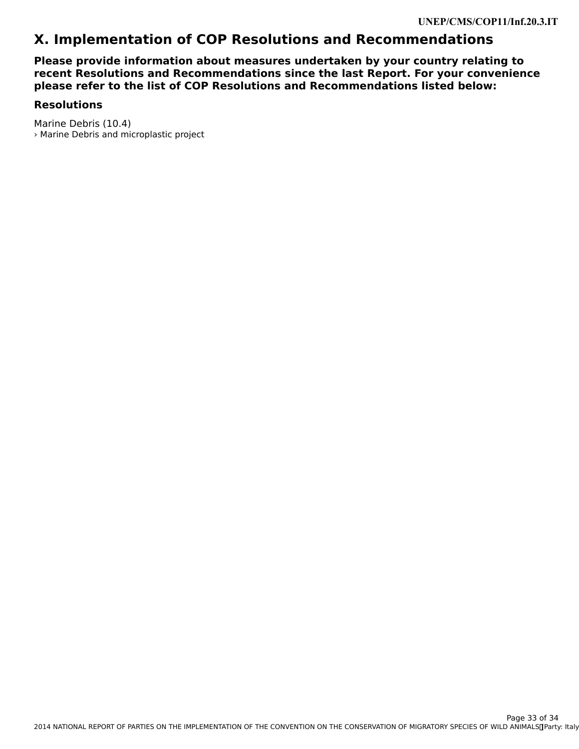## **X. Implementation of COP Resolutions and Recommendations**

**Please provide information about measures undertaken by your country relating to recent Resolutions and Recommendations since the last Report. For your convenience please refer to the list of COP Resolutions and Recommendations listed below:**

#### **Resolutions**

Marine Debris (10.4) › Marine Debris and microplastic project